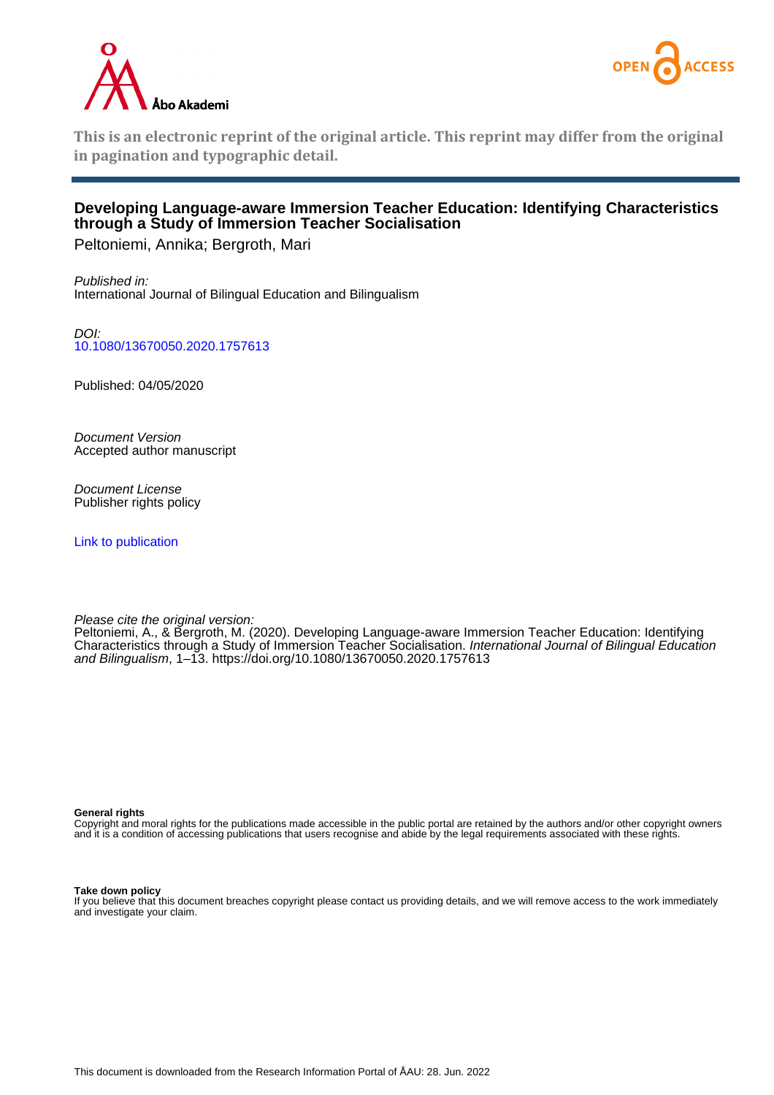



**This is an electronic reprint of the original article. This reprint may differ from the original in pagination and typographic detail.**

## **Developing Language-aware Immersion Teacher Education: Identifying Characteristics through a Study of Immersion Teacher Socialisation**

Peltoniemi, Annika; Bergroth, Mari

Published in: International Journal of Bilingual Education and Bilingualism

DOI: [10.1080/13670050.2020.1757613](https://doi.org/10.1080/13670050.2020.1757613)

Published: 04/05/2020

Document Version Accepted author manuscript

Document License Publisher rights policy

[Link to publication](https://research.abo.fi/en/publications/92ca2f2d-1a76-4acf-ac01-ec025a65788f)

Please cite the original version:

Peltoniemi, A., & Bergroth, M. (2020). Developing Language-aware Immersion Teacher Education: Identifying Characteristics through a Study of Immersion Teacher Socialisation. International Journal of Bilingual Education and Bilingualism, 1–13.<https://doi.org/10.1080/13670050.2020.1757613>

**General rights**

Copyright and moral rights for the publications made accessible in the public portal are retained by the authors and/or other copyright owners and it is a condition of accessing publications that users recognise and abide by the legal requirements associated with these rights.

#### **Take down policy**

If you believe that this document breaches copyright please contact us providing details, and we will remove access to the work immediately and investigate your claim.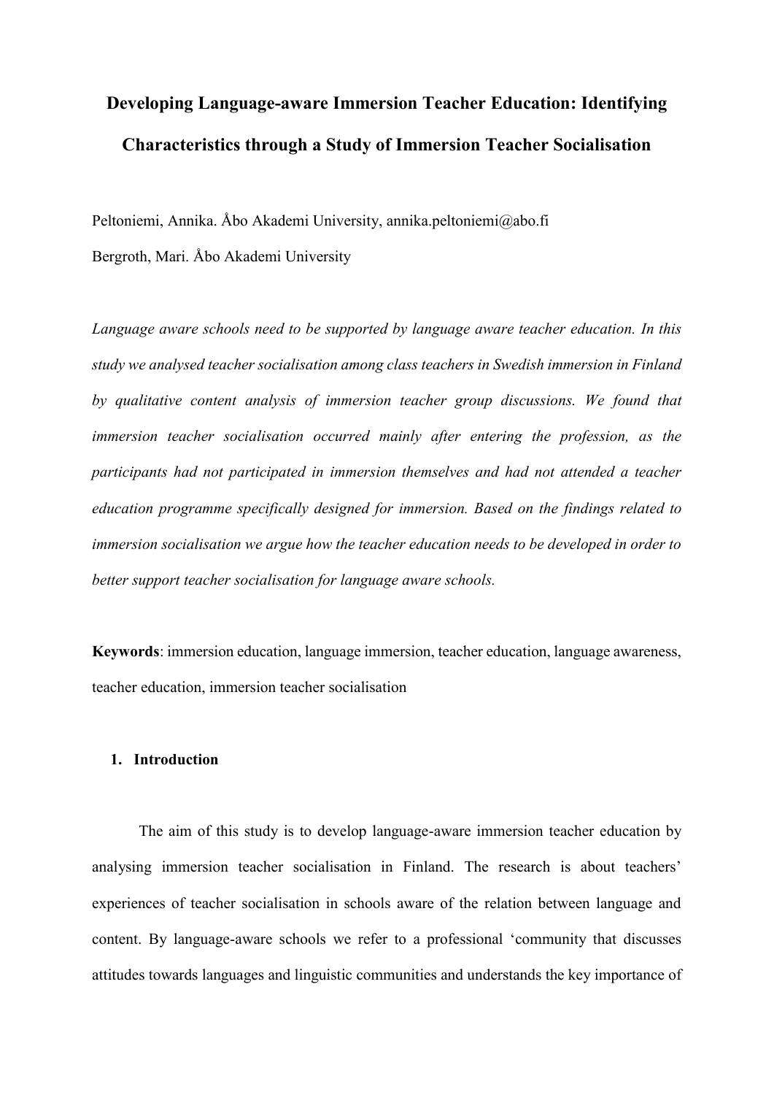# **Developing Language-aware Immersion Teacher Education: Identifying Characteristics through a Study of Immersion Teacher Socialisation**

Peltoniemi, Annika. Åbo Akademi University, annika.peltoniemi@abo.fi

Bergroth, Mari. Åbo Akademi University

*Language aware schools need to be supported by language aware teacher education. In this study we analysed teacher socialisation among class teachers in Swedish immersion in Finland by qualitative content analysis of immersion teacher group discussions. We found that immersion teacher socialisation occurred mainly after entering the profession, as the participants had not participated in immersion themselves and had not attended a teacher education programme specifically designed for immersion. Based on the findings related to immersion socialisation we argue how the teacher education needs to be developed in order to better support teacher socialisation for language aware schools.*

**Keywords**: immersion education, language immersion, teacher education, language awareness, teacher education, immersion teacher socialisation

#### **1. Introduction**

The aim of this study is to develop language-aware immersion teacher education by analysing immersion teacher socialisation in Finland. The research is about teachers' experiences of teacher socialisation in schools aware of the relation between language and content. By language-aware schools we refer to a professional 'community that discusses attitudes towards languages and linguistic communities and understands the key importance of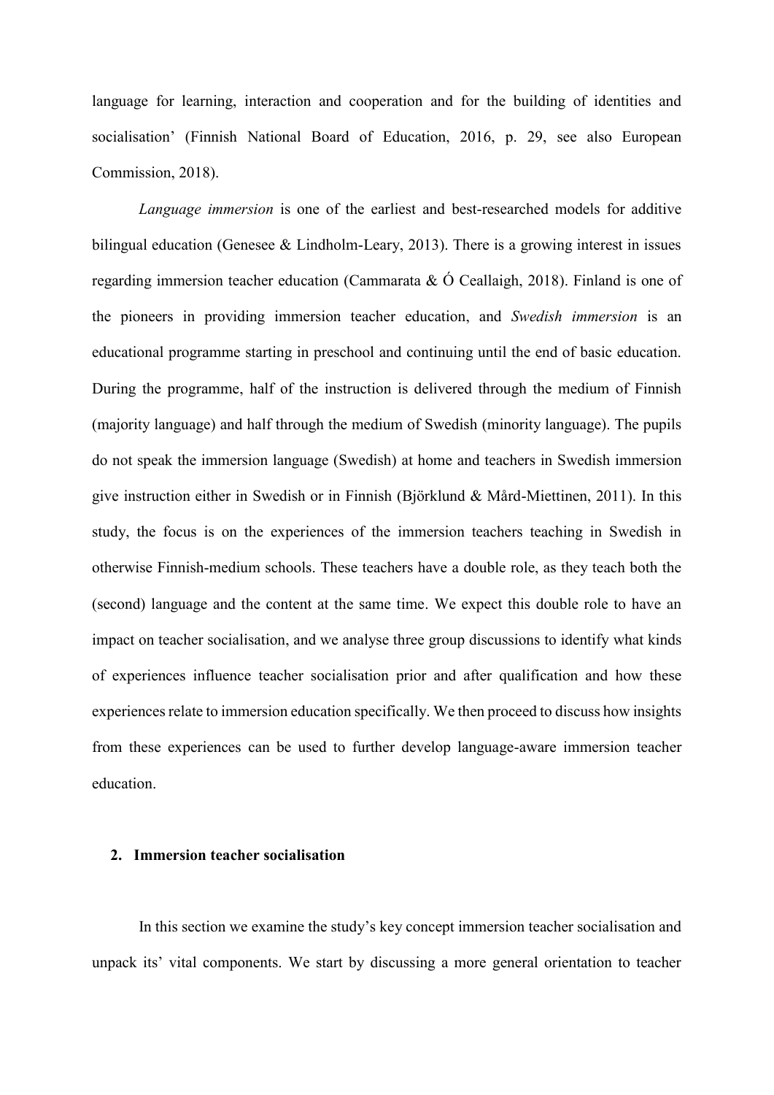language for learning, interaction and cooperation and for the building of identities and socialisation' (Finnish National Board of Education, 2016, p. 29, see also European Commission, 2018).

*Language immersion* is one of the earliest and best-researched models for additive bilingual education (Genesee & Lindholm-Leary, 2013). There is a growing interest in issues regarding immersion teacher education (Cammarata  $\&\circ$  Ceallaigh, 2018). Finland is one of the pioneers in providing immersion teacher education, and *Swedish immersion* is an educational programme starting in preschool and continuing until the end of basic education. During the programme, half of the instruction is delivered through the medium of Finnish (majority language) and half through the medium of Swedish (minority language). The pupils do not speak the immersion language (Swedish) at home and teachers in Swedish immersion give instruction either in Swedish or in Finnish (Björklund & Mård-Miettinen, 2011). In this study, the focus is on the experiences of the immersion teachers teaching in Swedish in otherwise Finnish-medium schools. These teachers have a double role, as they teach both the (second) language and the content at the same time. We expect this double role to have an impact on teacher socialisation, and we analyse three group discussions to identify what kinds of experiences influence teacher socialisation prior and after qualification and how these experiences relate to immersion education specifically. We then proceed to discuss how insights from these experiences can be used to further develop language-aware immersion teacher education.

#### **2. Immersion teacher socialisation**

In this section we examine the study's key concept immersion teacher socialisation and unpack its' vital components. We start by discussing a more general orientation to teacher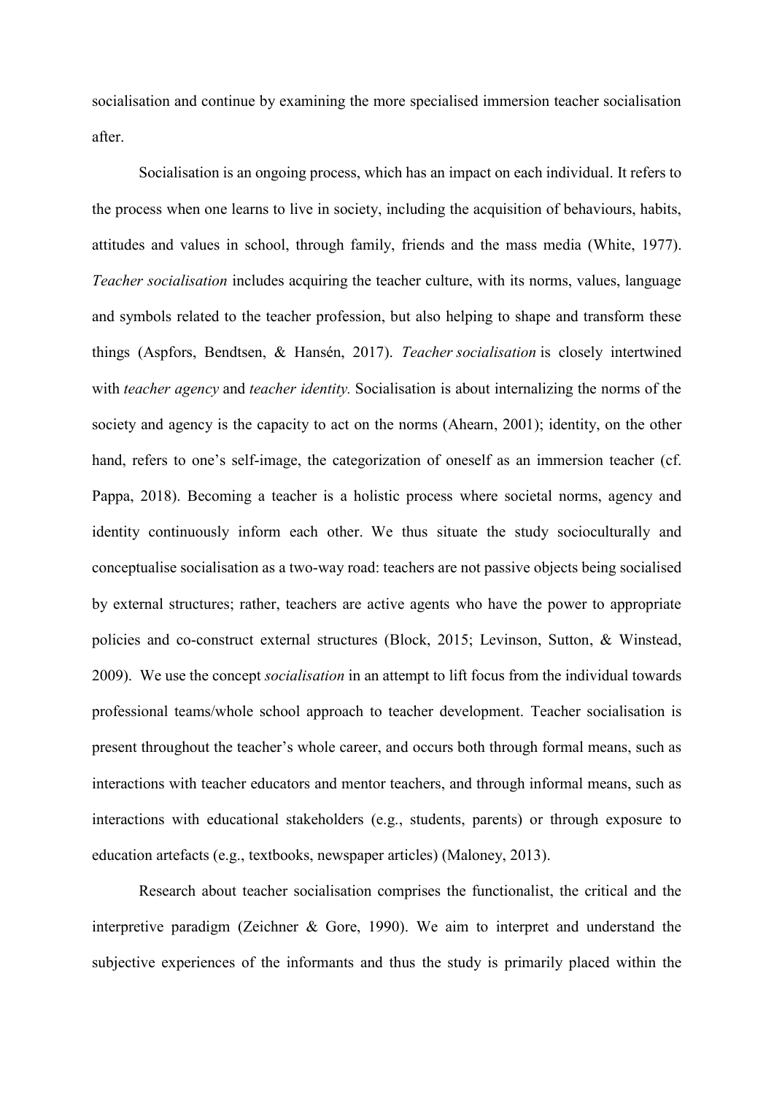socialisation and continue by examining the more specialised immersion teacher socialisation after.

Socialisation is an ongoing process, which has an impact on each individual. It refers to the process when one learns to live in society, including the acquisition of behaviours, habits, attitudes and values in school, through family, friends and the mass media (White, 1977). *Teacher socialisation* includes acquiring the teacher culture, with its norms, values, language and symbols related to the teacher profession, but also helping to shape and transform these things (Aspfors, Bendtsen, & Hansén, 2017). *Teacher socialisation* is closely intertwined with *teacher agency* and *teacher identity.* Socialisation is about internalizing the norms of the society and agency is the capacity to act on the norms (Ahearn, 2001); identity, on the other hand, refers to one's self-image, the categorization of oneself as an immersion teacher (cf. Pappa, 2018). Becoming a teacher is a holistic process where societal norms, agency and identity continuously inform each other. We thus situate the study socioculturally and conceptualise socialisation as a two-way road: teachers are not passive objects being socialised by external structures; rather, teachers are active agents who have the power to appropriate policies and co-construct external structures (Block, 2015; Levinson, Sutton, & Winstead, 2009). We use the concept *socialisation* in an attempt to lift focus from the individual towards professional teams/whole school approach to teacher development. Teacher socialisation is present throughout the teacher's whole career, and occurs both through formal means, such as interactions with teacher educators and mentor teachers, and through informal means, such as interactions with educational stakeholders (e.g., students, parents) or through exposure to education artefacts (e.g., textbooks, newspaper articles) (Maloney, 2013).

Research about teacher socialisation comprises the functionalist, the critical and the interpretive paradigm (Zeichner & Gore, 1990). We aim to interpret and understand the subjective experiences of the informants and thus the study is primarily placed within the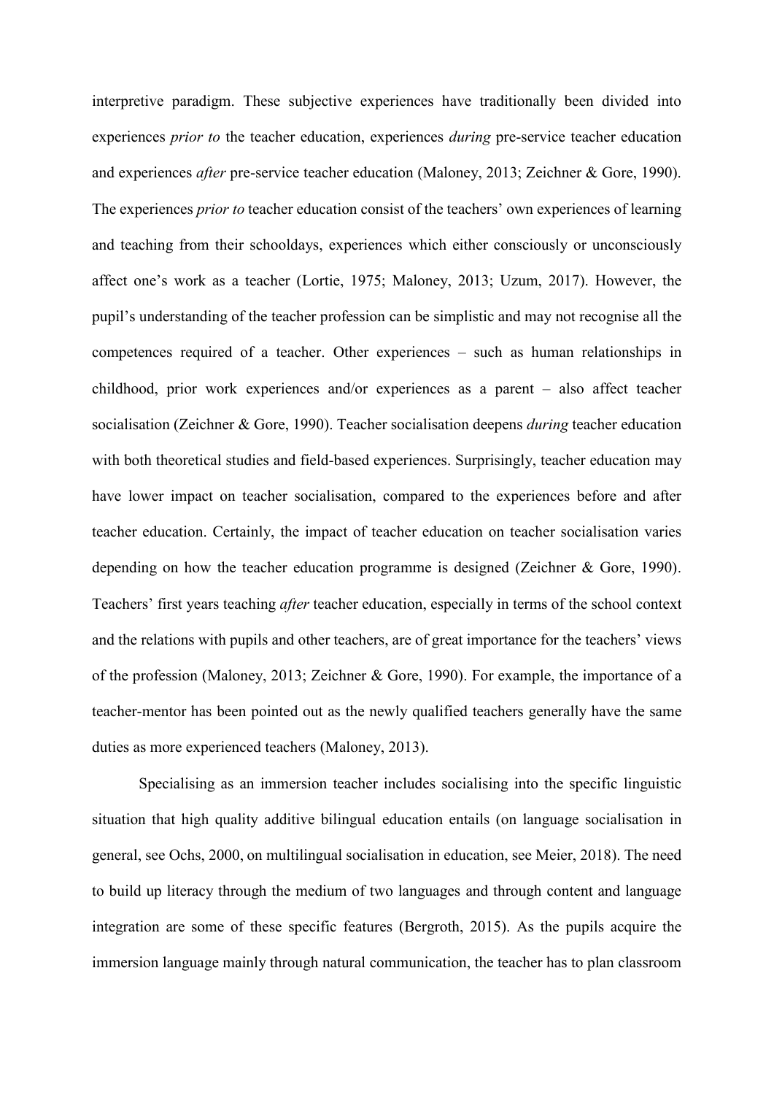interpretive paradigm. These subjective experiences have traditionally been divided into experiences *prior to* the teacher education, experiences *during* pre-service teacher education and experiences *after* pre-service teacher education (Maloney, 2013; Zeichner & Gore, 1990). The experiences *prior to* teacher education consist of the teachers' own experiences of learning and teaching from their schooldays, experiences which either consciously or unconsciously affect one's work as a teacher (Lortie, 1975; Maloney, 2013; Uzum, 2017). However, the pupil's understanding of the teacher profession can be simplistic and may not recognise all the competences required of a teacher. Other experiences – such as human relationships in childhood, prior work experiences and/or experiences as a parent – also affect teacher socialisation (Zeichner & Gore, 1990). Teacher socialisation deepens *during* teacher education with both theoretical studies and field-based experiences. Surprisingly, teacher education may have lower impact on teacher socialisation, compared to the experiences before and after teacher education. Certainly, the impact of teacher education on teacher socialisation varies depending on how the teacher education programme is designed (Zeichner & Gore, 1990). Teachers' first years teaching *after* teacher education, especially in terms of the school context and the relations with pupils and other teachers, are of great importance for the teachers' views of the profession (Maloney, 2013; Zeichner & Gore, 1990). For example, the importance of a teacher-mentor has been pointed out as the newly qualified teachers generally have the same duties as more experienced teachers (Maloney, 2013).

Specialising as an immersion teacher includes socialising into the specific linguistic situation that high quality additive bilingual education entails (on language socialisation in general, see Ochs, 2000, on multilingual socialisation in education, see Meier, 2018). The need to build up literacy through the medium of two languages and through content and language integration are some of these specific features (Bergroth, 2015). As the pupils acquire the immersion language mainly through natural communication, the teacher has to plan classroom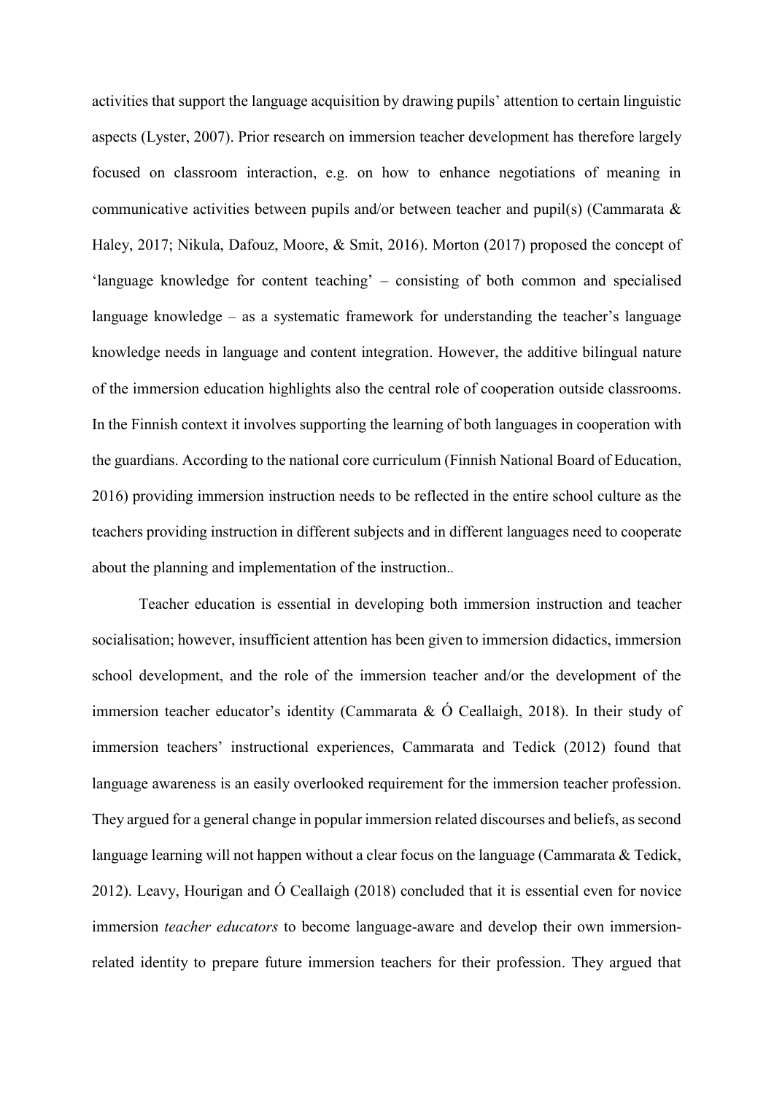activities that support the language acquisition by drawing pupils' attention to certain linguistic aspects (Lyster, 2007). Prior research on immersion teacher development has therefore largely focused on classroom interaction, e.g. on how to enhance negotiations of meaning in communicative activities between pupils and/or between teacher and pupil(s) (Cammarata & Haley, 2017; Nikula, Dafouz, Moore, & Smit, 2016). Morton (2017) proposed the concept of 'language knowledge for content teaching' – consisting of both common and specialised language knowledge – as a systematic framework for understanding the teacher's language knowledge needs in language and content integration. However, the additive bilingual nature of the immersion education highlights also the central role of cooperation outside classrooms. In the Finnish context it involves supporting the learning of both languages in cooperation with the guardians. According to the national core curriculum (Finnish National Board of Education, 2016) providing immersion instruction needs to be reflected in the entire school culture as the teachers providing instruction in different subjects and in different languages need to cooperate about the planning and implementation of the instruction.*.*

Teacher education is essential in developing both immersion instruction and teacher socialisation; however, insufficient attention has been given to immersion didactics, immersion school development, and the role of the immersion teacher and/or the development of the immersion teacher educator's identity (Cammarata & Ó Ceallaigh, 2018). In their study of immersion teachers' instructional experiences, Cammarata and Tedick (2012) found that language awareness is an easily overlooked requirement for the immersion teacher profession. They argued for a general change in popular immersion related discourses and beliefs, as second language learning will not happen without a clear focus on the language (Cammarata & Tedick, 2012). Leavy, Hourigan and Ó Ceallaigh (2018) concluded that it is essential even for novice immersion *teacher educators* to become language-aware and develop their own immersionrelated identity to prepare future immersion teachers for their profession. They argued that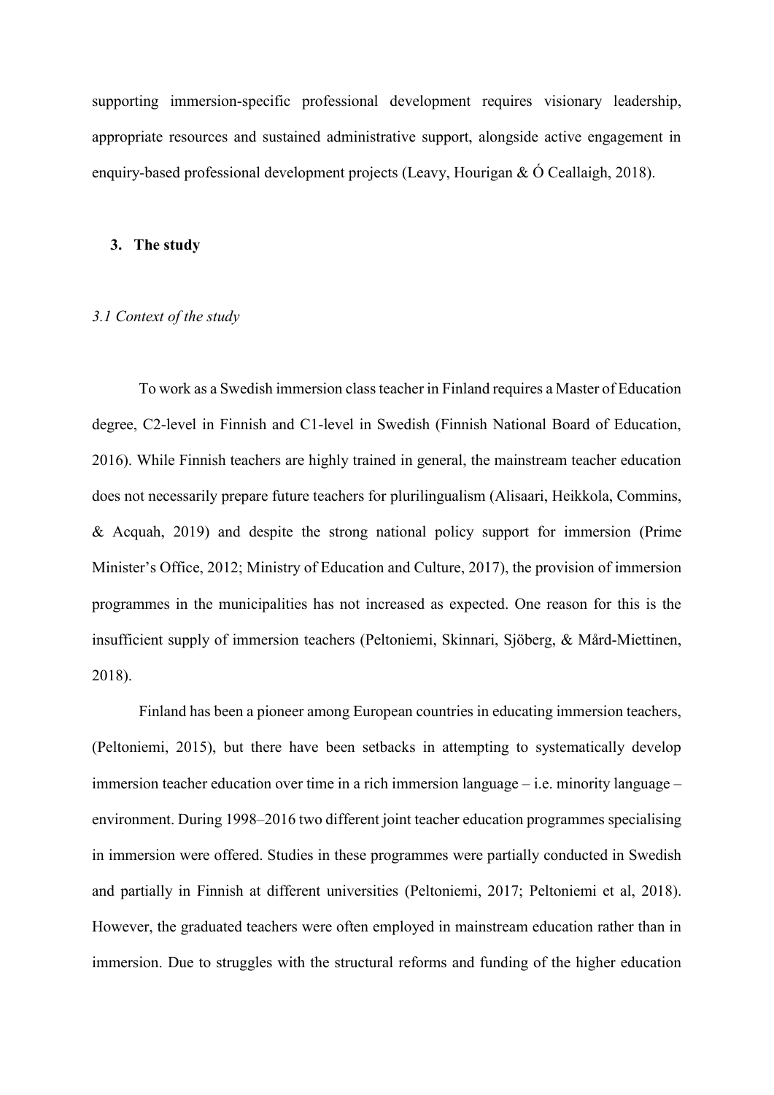supporting immersion-specific professional development requires visionary leadership, appropriate resources and sustained administrative support, alongside active engagement in enquiry-based professional development projects (Leavy, Hourigan & Ó Ceallaigh, 2018).

#### **3. The study**

#### *3.1 Context of the study*

To work as a Swedish immersion class teacher in Finland requires a Master of Education degree, C2-level in Finnish and C1-level in Swedish (Finnish National Board of Education, 2016). While Finnish teachers are highly trained in general, the mainstream teacher education does not necessarily prepare future teachers for plurilingualism (Alisaari, Heikkola, Commins, & Acquah, 2019) and despite the strong national policy support for immersion (Prime Minister's Office, 2012; Ministry of Education and Culture, 2017), the provision of immersion programmes in the municipalities has not increased as expected. One reason for this is the insufficient supply of immersion teachers (Peltoniemi, Skinnari, Sjöberg, & Mård-Miettinen, 2018).

Finland has been a pioneer among European countries in educating immersion teachers, (Peltoniemi, 2015), but there have been setbacks in attempting to systematically develop immersion teacher education over time in a rich immersion language – i.e. minority language – environment. During 1998–2016 two different joint teacher education programmes specialising in immersion were offered. Studies in these programmes were partially conducted in Swedish and partially in Finnish at different universities (Peltoniemi, 2017; Peltoniemi et al, 2018). However, the graduated teachers were often employed in mainstream education rather than in immersion. Due to struggles with the structural reforms and funding of the higher education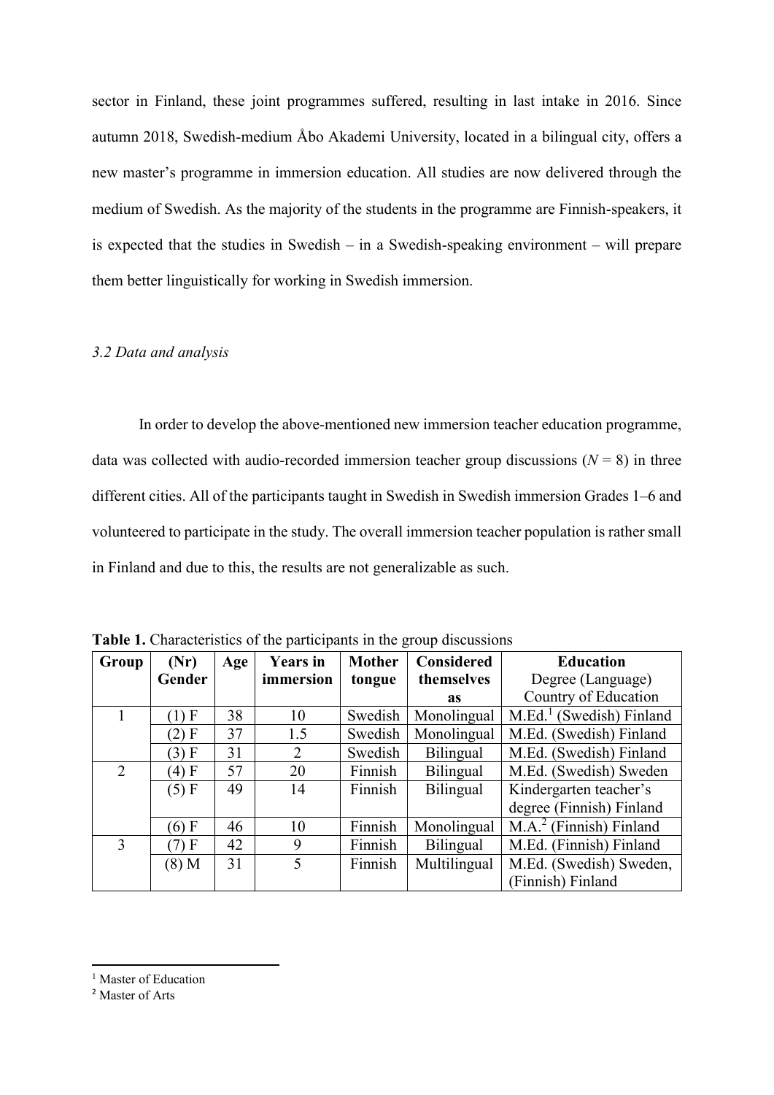sector in Finland, these joint programmes suffered, resulting in last intake in 2016. Since autumn 2018, Swedish-medium Åbo Akademi University, located in a bilingual city, offers a new master's programme in immersion education. All studies are now delivered through the medium of Swedish. As the majority of the students in the programme are Finnish-speakers, it is expected that the studies in Swedish – in a Swedish-speaking environment – will prepare them better linguistically for working in Swedish immersion.

### *3.2 Data and analysis*

In order to develop the above-mentioned new immersion teacher education programme, data was collected with audio-recorded immersion teacher group discussions  $(N = 8)$  in three different cities. All of the participants taught in Swedish in Swedish immersion Grades 1–6 and volunteered to participate in the study. The overall immersion teacher population is rather small in Finland and due to this, the results are not generalizable as such.

| Group | (Nr)    | Age | <b>Years in</b> | <b>Mother</b> | <b>Considered</b> | <b>Education</b>                                  |
|-------|---------|-----|-----------------|---------------|-------------------|---------------------------------------------------|
|       | Gender  |     | immersion       | tongue        | themselves        | Degree (Language)                                 |
|       |         |     |                 |               | <b>as</b>         | Country of Education                              |
|       | $(1)$ F | 38  | 10              | Swedish       | Monolingual       | $M.Ed.1$ (Swedish) Finland                        |
|       | $(2)$ F | 37  | 1.5             | Swedish       | Monolingual       | M.Ed. (Swedish) Finland                           |
|       | (3) F   | 31  | 2               | Swedish       | Bilingual         | M.Ed. (Swedish) Finland                           |
| 2     | $(4)$ F | 57  | 20              | Finnish       | Bilingual         | M.Ed. (Swedish) Sweden                            |
|       | (5) F   | 49  | 14              | Finnish       | Bilingual         | Kindergarten teacher's                            |
|       |         |     |                 |               |                   | degree (Finnish) Finland                          |
|       | $(6)$ F | 46  | 10              | Finnish       | Monolingual       | $\overline{M}$ .A. <sup>2</sup> (Finnish) Finland |
| 3     | (7) F   | 42  | 9               | Finnish       | Bilingual         | M.Ed. (Finnish) Finland                           |
|       | $(8)$ M | 31  | 5               | Finnish       | Multilingual      | M.Ed. (Swedish) Sweden,                           |
|       |         |     |                 |               |                   | (Finnish) Finland                                 |

**Table 1.** Characteristics of the participants in the group discussions

 $\overline{a}$ 

<sup>&</sup>lt;sup>1</sup> Master of Education

<sup>2</sup> Master of Arts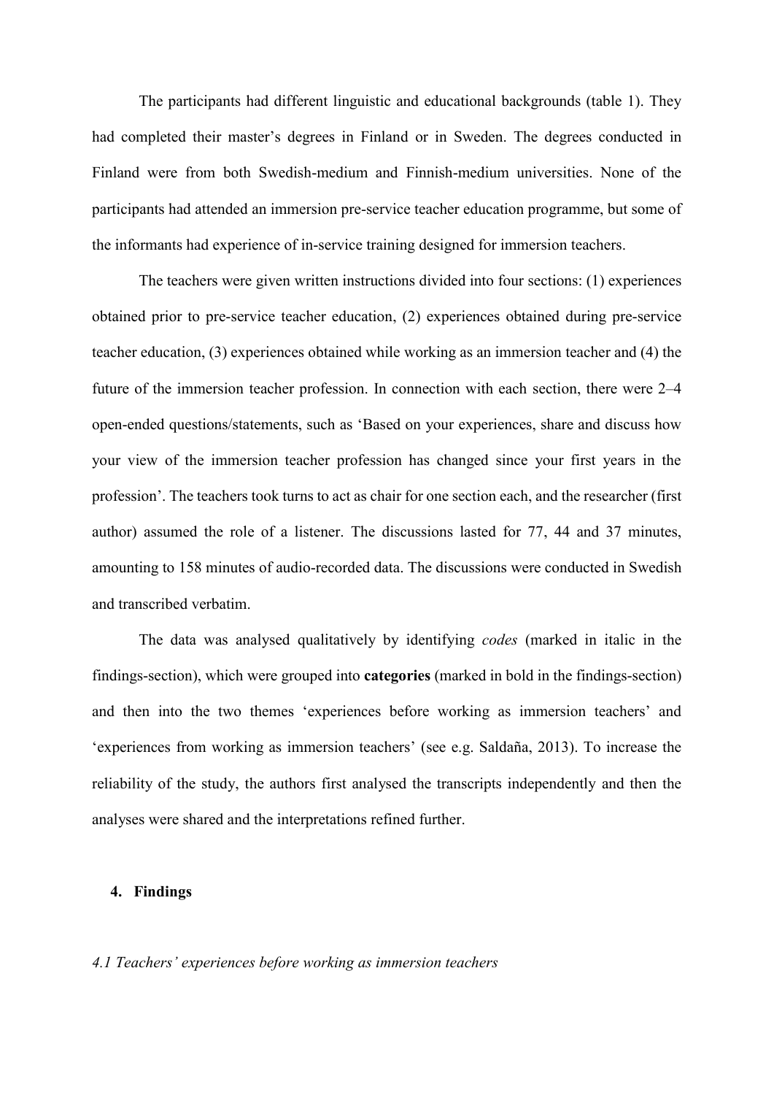The participants had different linguistic and educational backgrounds (table 1). They had completed their master's degrees in Finland or in Sweden. The degrees conducted in Finland were from both Swedish-medium and Finnish-medium universities. None of the participants had attended an immersion pre-service teacher education programme, but some of the informants had experience of in-service training designed for immersion teachers.

The teachers were given written instructions divided into four sections: (1) experiences obtained prior to pre-service teacher education, (2) experiences obtained during pre-service teacher education, (3) experiences obtained while working as an immersion teacher and (4) the future of the immersion teacher profession. In connection with each section, there were 2–4 open-ended questions/statements, such as 'Based on your experiences, share and discuss how your view of the immersion teacher profession has changed since your first years in the profession'. The teachers took turns to act as chair for one section each, and the researcher (first author) assumed the role of a listener. The discussions lasted for 77, 44 and 37 minutes, amounting to 158 minutes of audio-recorded data. The discussions were conducted in Swedish and transcribed verbatim.

The data was analysed qualitatively by identifying *codes* (marked in italic in the findings-section), which were grouped into **categories** (marked in bold in the findings-section) and then into the two themes 'experiences before working as immersion teachers' and 'experiences from working as immersion teachers' (see e.g. Saldaña, 2013). To increase the reliability of the study, the authors first analysed the transcripts independently and then the analyses were shared and the interpretations refined further.

#### **4. Findings**

### *4.1 Teachers' experiences before working as immersion teachers*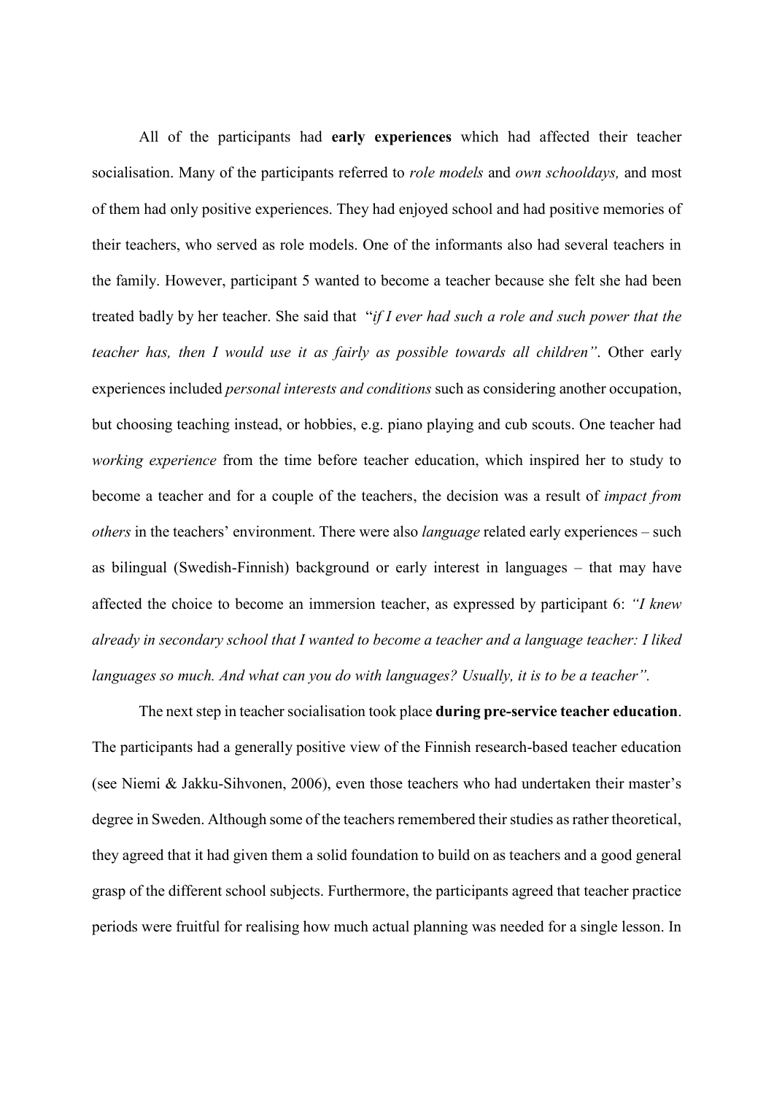All of the participants had **early experiences** which had affected their teacher socialisation. Many of the participants referred to *role models* and *own schooldays,* and most of them had only positive experiences. They had enjoyed school and had positive memories of their teachers, who served as role models. One of the informants also had several teachers in the family. However, participant 5 wanted to become a teacher because she felt she had been treated badly by her teacher. She said that "*if I ever had such a role and such power that the teacher has, then I would use it as fairly as possible towards all children"*. Other early experiences included *personal interests and conditions* such as considering another occupation, but choosing teaching instead, or hobbies, e.g. piano playing and cub scouts. One teacher had *working experience* from the time before teacher education, which inspired her to study to become a teacher and for a couple of the teachers, the decision was a result of *impact from others* in the teachers' environment. There were also *language* related early experiences – such as bilingual (Swedish-Finnish) background or early interest in languages – that may have affected the choice to become an immersion teacher, as expressed by participant 6: *"I knew already in secondary school that I wanted to become a teacher and a language teacher: I liked languages so much. And what can you do with languages? Usually, it is to be a teacher".* 

The next step in teacher socialisation took place **during pre-service teacher education**. The participants had a generally positive view of the Finnish research-based teacher education (see Niemi & Jakku-Sihvonen, 2006), even those teachers who had undertaken their master's degree in Sweden. Although some of the teachers remembered their studies as rather theoretical, they agreed that it had given them a solid foundation to build on as teachers and a good general grasp of the different school subjects. Furthermore, the participants agreed that teacher practice periods were fruitful for realising how much actual planning was needed for a single lesson. In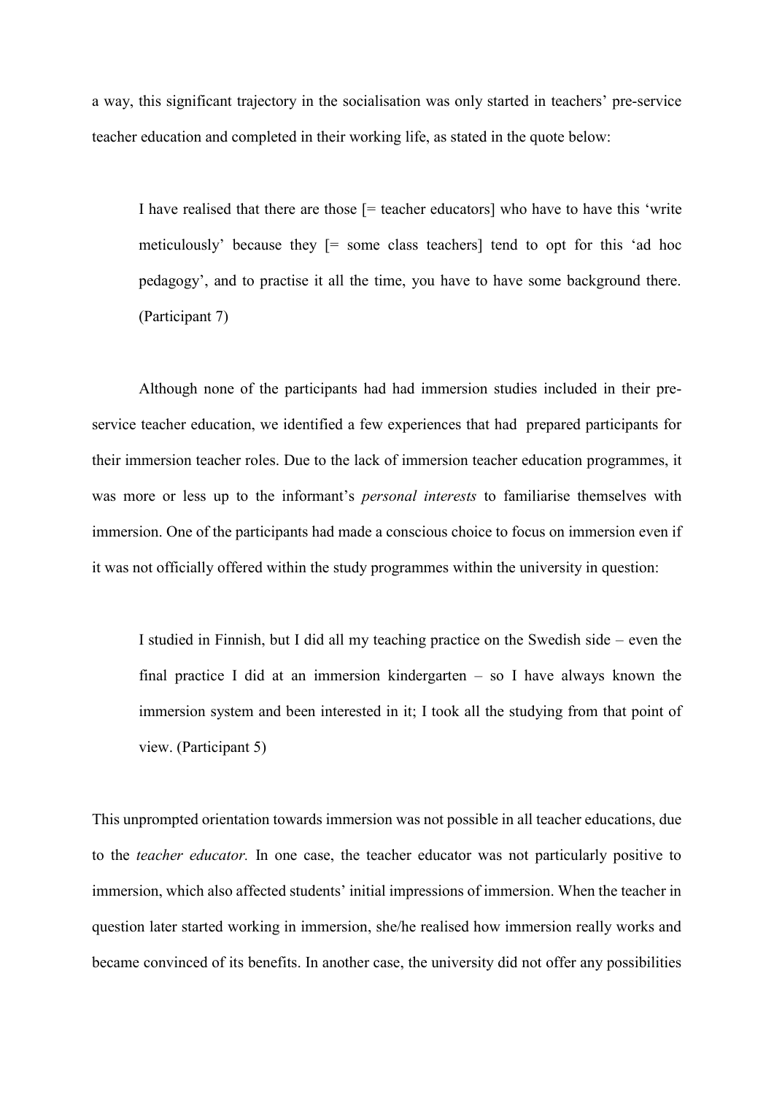a way, this significant trajectory in the socialisation was only started in teachers' pre-service teacher education and completed in their working life, as stated in the quote below:

I have realised that there are those [= teacher educators] who have to have this 'write meticulously' because they [= some class teachers] tend to opt for this 'ad hoc pedagogy', and to practise it all the time, you have to have some background there. (Participant 7)

Although none of the participants had had immersion studies included in their preservice teacher education, we identified a few experiences that had prepared participants for their immersion teacher roles. Due to the lack of immersion teacher education programmes, it was more or less up to the informant's *personal interests* to familiarise themselves with immersion. One of the participants had made a conscious choice to focus on immersion even if it was not officially offered within the study programmes within the university in question:

I studied in Finnish, but I did all my teaching practice on the Swedish side – even the final practice I did at an immersion kindergarten – so I have always known the immersion system and been interested in it; I took all the studying from that point of view. (Participant 5)

This unprompted orientation towards immersion was not possible in all teacher educations, due to the *teacher educator.* In one case, the teacher educator was not particularly positive to immersion, which also affected students' initial impressions of immersion. When the teacher in question later started working in immersion, she/he realised how immersion really works and became convinced of its benefits. In another case, the university did not offer any possibilities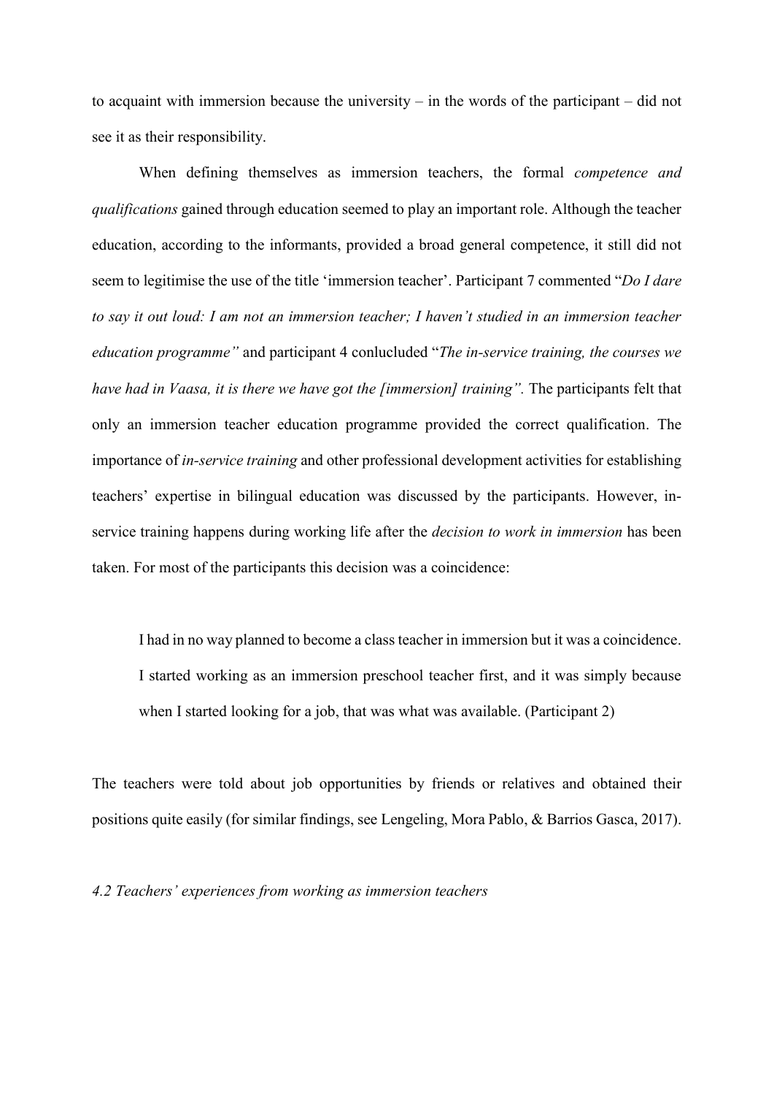to acquaint with immersion because the university – in the words of the participant – did not see it as their responsibility.

When defining themselves as immersion teachers, the formal *competence and qualifications* gained through education seemed to play an important role. Although the teacher education, according to the informants, provided a broad general competence, it still did not seem to legitimise the use of the title 'immersion teacher'. Participant 7 commented "*Do I dare to say it out loud: I am not an immersion teacher; I haven't studied in an immersion teacher education programme"* and participant 4 conlucluded "*The in-service training, the courses we have had in Vaasa, it is there we have got the [immersion] training".* The participants felt that only an immersion teacher education programme provided the correct qualification. The importance of *in-service training* and other professional development activities for establishing teachers' expertise in bilingual education was discussed by the participants. However, inservice training happens during working life after the *decision to work in immersion* has been taken. For most of the participants this decision was a coincidence:

I had in no way planned to become a class teacher in immersion but it was a coincidence. I started working as an immersion preschool teacher first, and it was simply because when I started looking for a job, that was what was available. (Participant 2)

The teachers were told about job opportunities by friends or relatives and obtained their positions quite easily (for similar findings, see Lengeling, Mora Pablo, & Barrios Gasca, 2017).

*4.2 Teachers' experiences from working as immersion teachers*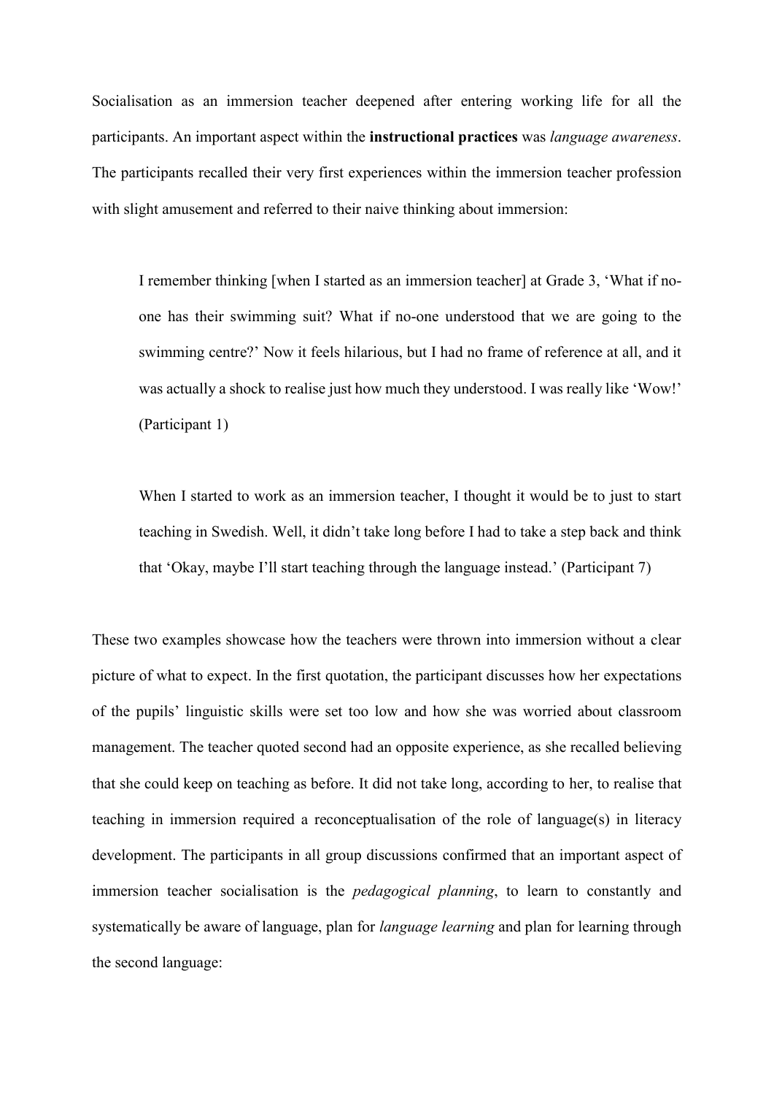Socialisation as an immersion teacher deepened after entering working life for all the participants. An important aspect within the **instructional practices** was *language awareness*. The participants recalled their very first experiences within the immersion teacher profession with slight amusement and referred to their naive thinking about immersion:

I remember thinking [when I started as an immersion teacher] at Grade 3, 'What if noone has their swimming suit? What if no-one understood that we are going to the swimming centre?' Now it feels hilarious, but I had no frame of reference at all, and it was actually a shock to realise just how much they understood. I was really like 'Wow!' (Participant 1)

When I started to work as an immersion teacher, I thought it would be to just to start teaching in Swedish. Well, it didn't take long before I had to take a step back and think that 'Okay, maybe I'll start teaching through the language instead.' (Participant 7)

These two examples showcase how the teachers were thrown into immersion without a clear picture of what to expect. In the first quotation, the participant discusses how her expectations of the pupils' linguistic skills were set too low and how she was worried about classroom management. The teacher quoted second had an opposite experience, as she recalled believing that she could keep on teaching as before. It did not take long, according to her, to realise that teaching in immersion required a reconceptualisation of the role of language(s) in literacy development. The participants in all group discussions confirmed that an important aspect of immersion teacher socialisation is the *pedagogical planning*, to learn to constantly and systematically be aware of language, plan for *language learning* and plan for learning through the second language: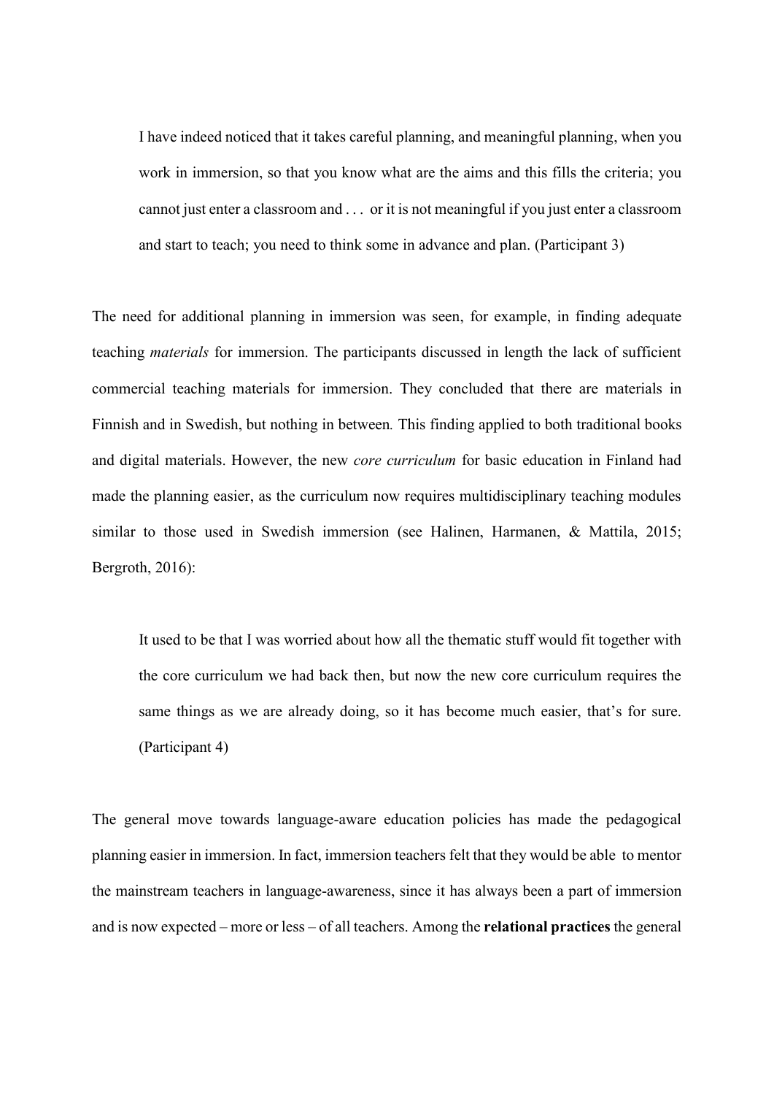I have indeed noticed that it takes careful planning, and meaningful planning, when you work in immersion, so that you know what are the aims and this fills the criteria; you cannot just enter a classroom and . . . or it is not meaningful if you just enter a classroom and start to teach; you need to think some in advance and plan. (Participant 3)

The need for additional planning in immersion was seen, for example, in finding adequate teaching *materials* for immersion. The participants discussed in length the lack of sufficient commercial teaching materials for immersion. They concluded that there are materials in Finnish and in Swedish, but nothing in between*.* This finding applied to both traditional books and digital materials. However, the new *core curriculum* for basic education in Finland had made the planning easier, as the curriculum now requires multidisciplinary teaching modules similar to those used in Swedish immersion (see Halinen, Harmanen, & Mattila, 2015; Bergroth, 2016):

It used to be that I was worried about how all the thematic stuff would fit together with the core curriculum we had back then, but now the new core curriculum requires the same things as we are already doing, so it has become much easier, that's for sure. (Participant 4)

The general move towards language-aware education policies has made the pedagogical planning easier in immersion. In fact, immersion teachers felt that they would be able to mentor the mainstream teachers in language-awareness, since it has always been a part of immersion and is now expected – more or less – of all teachers. Among the **relational practices** the general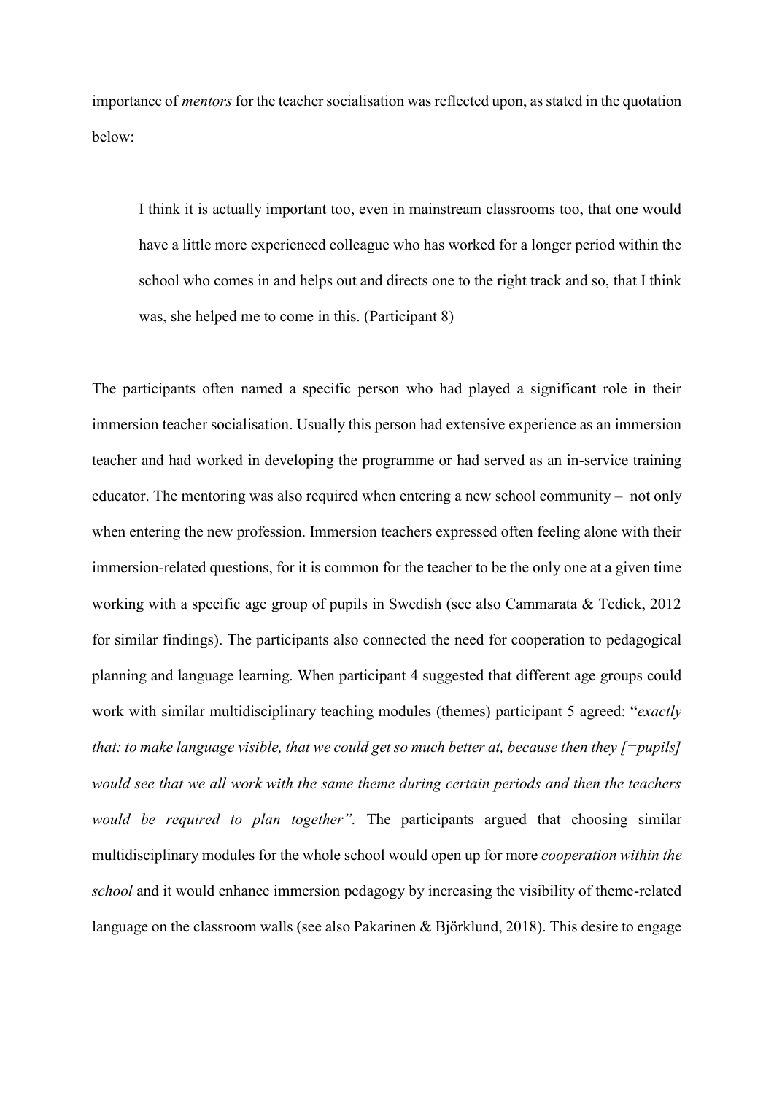importance of *mentors* for the teacher socialisation was reflected upon, as stated in the quotation below:

I think it is actually important too, even in mainstream classrooms too, that one would have a little more experienced colleague who has worked for a longer period within the school who comes in and helps out and directs one to the right track and so, that I think was, she helped me to come in this. (Participant 8)

The participants often named a specific person who had played a significant role in their immersion teacher socialisation. Usually this person had extensive experience as an immersion teacher and had worked in developing the programme or had served as an in-service training educator. The mentoring was also required when entering a new school community – not only when entering the new profession. Immersion teachers expressed often feeling alone with their immersion-related questions, for it is common for the teacher to be the only one at a given time working with a specific age group of pupils in Swedish (see also Cammarata & Tedick, 2012 for similar findings). The participants also connected the need for cooperation to pedagogical planning and language learning. When participant 4 suggested that different age groups could work with similar multidisciplinary teaching modules (themes) participant 5 agreed: "*exactly that: to make language visible, that we could get so much better at, because then they [=pupils] would see that we all work with the same theme during certain periods and then the teachers would be required to plan together".* The participants argued that choosing similar multidisciplinary modules for the whole school would open up for more *cooperation within the school* and it would enhance immersion pedagogy by increasing the visibility of theme-related language on the classroom walls (see also Pakarinen & Björklund, 2018). This desire to engage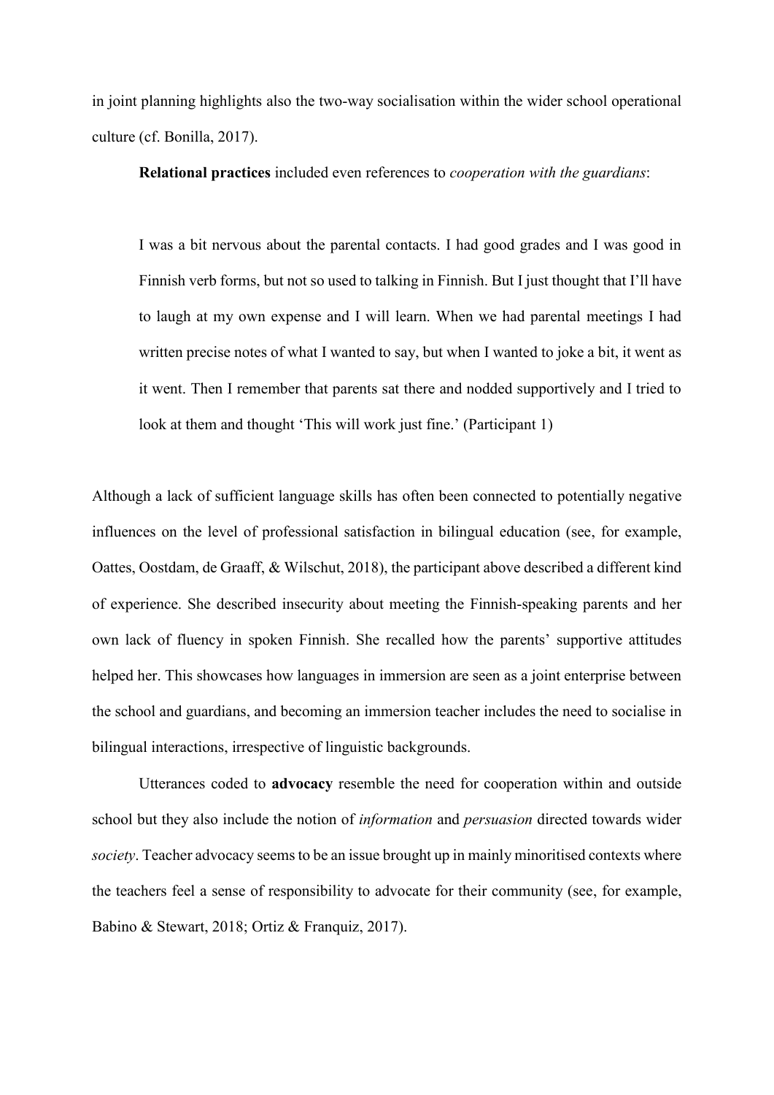in joint planning highlights also the two-way socialisation within the wider school operational culture (cf. Bonilla, 2017).

**Relational practices** included even references to *cooperation with the guardians*:

I was a bit nervous about the parental contacts. I had good grades and I was good in Finnish verb forms, but not so used to talking in Finnish. But I just thought that I'll have to laugh at my own expense and I will learn. When we had parental meetings I had written precise notes of what I wanted to say, but when I wanted to joke a bit, it went as it went. Then I remember that parents sat there and nodded supportively and I tried to look at them and thought 'This will work just fine.' (Participant 1)

Although a lack of sufficient language skills has often been connected to potentially negative influences on the level of professional satisfaction in bilingual education (see, for example, Oattes, Oostdam, de Graaff, & Wilschut, 2018), the participant above described a different kind of experience. She described insecurity about meeting the Finnish-speaking parents and her own lack of fluency in spoken Finnish. She recalled how the parents' supportive attitudes helped her. This showcases how languages in immersion are seen as a joint enterprise between the school and guardians, and becoming an immersion teacher includes the need to socialise in bilingual interactions, irrespective of linguistic backgrounds.

Utterances coded to **advocacy** resemble the need for cooperation within and outside school but they also include the notion of *information* and *persuasion* directed towards wider *society*. Teacher advocacy seems to be an issue brought up in mainly minoritised contexts where the teachers feel a sense of responsibility to advocate for their community (see, for example, Babino & Stewart, 2018; Ortiz & Franquiz, 2017).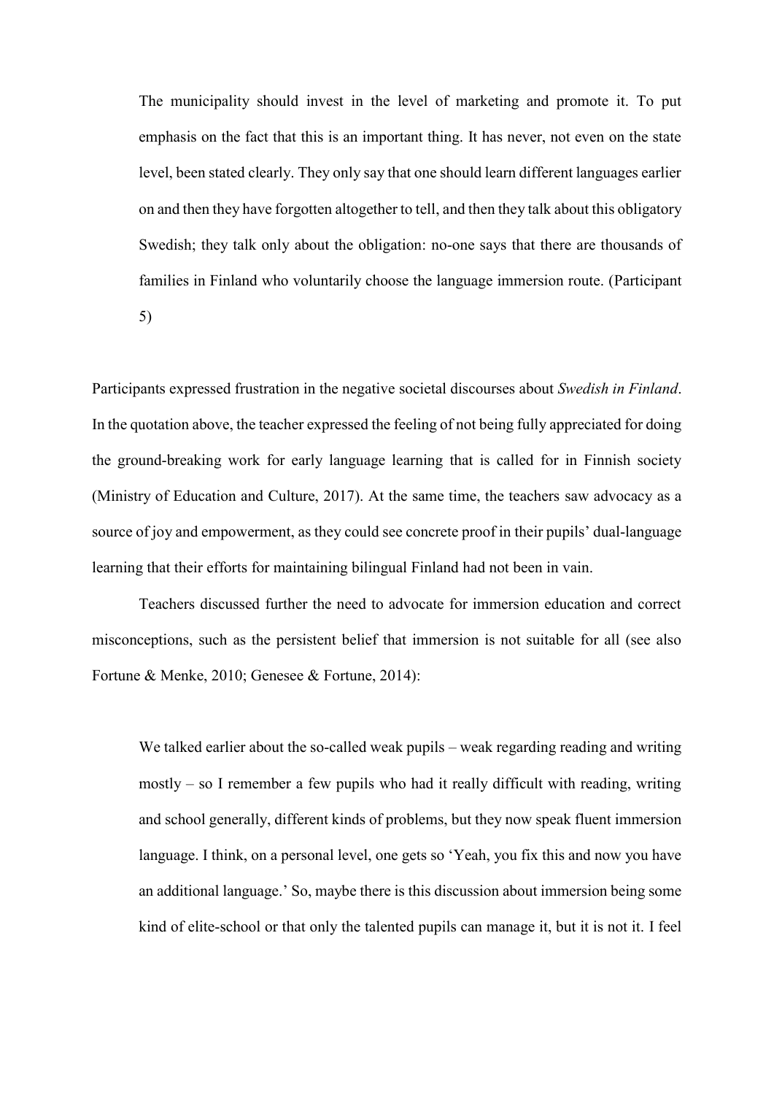The municipality should invest in the level of marketing and promote it. To put emphasis on the fact that this is an important thing. It has never, not even on the state level, been stated clearly. They only say that one should learn different languages earlier on and then they have forgotten altogether to tell, and then they talk about this obligatory Swedish; they talk only about the obligation: no-one says that there are thousands of families in Finland who voluntarily choose the language immersion route. (Participant 5)

Participants expressed frustration in the negative societal discourses about *Swedish in Finland*. In the quotation above, the teacher expressed the feeling of not being fully appreciated for doing the ground-breaking work for early language learning that is called for in Finnish society (Ministry of Education and Culture, 2017). At the same time, the teachers saw advocacy as a source of joy and empowerment, as they could see concrete proof in their pupils' dual-language learning that their efforts for maintaining bilingual Finland had not been in vain.

Teachers discussed further the need to advocate for immersion education and correct misconceptions, such as the persistent belief that immersion is not suitable for all (see also Fortune & Menke, 2010; Genesee & Fortune, 2014):

We talked earlier about the so-called weak pupils – weak regarding reading and writing mostly – so I remember a few pupils who had it really difficult with reading, writing and school generally, different kinds of problems, but they now speak fluent immersion language. I think, on a personal level, one gets so 'Yeah, you fix this and now you have an additional language.' So, maybe there is this discussion about immersion being some kind of elite-school or that only the talented pupils can manage it, but it is not it. I feel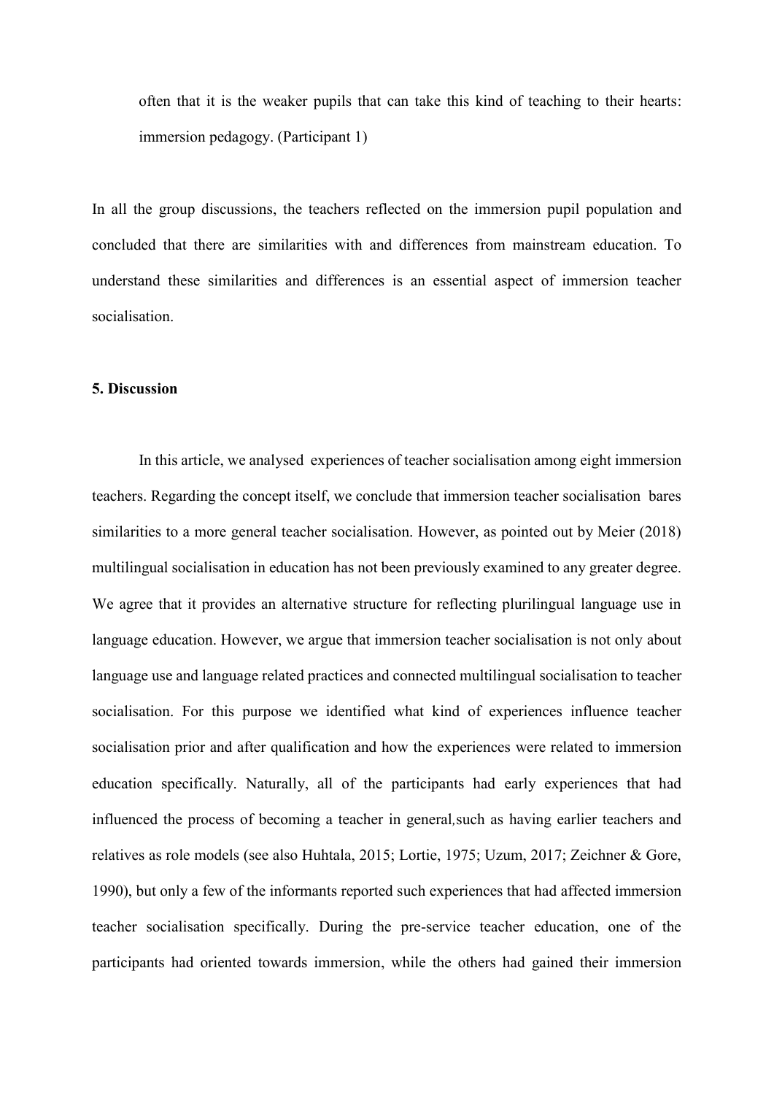often that it is the weaker pupils that can take this kind of teaching to their hearts: immersion pedagogy. (Participant 1)

In all the group discussions, the teachers reflected on the immersion pupil population and concluded that there are similarities with and differences from mainstream education. To understand these similarities and differences is an essential aspect of immersion teacher socialisation.

#### **5. Discussion**

In this article, we analysed experiences of teacher socialisation among eight immersion teachers. Regarding the concept itself, we conclude that immersion teacher socialisation bares similarities to a more general teacher socialisation. However, as pointed out by Meier (2018) multilingual socialisation in education has not been previously examined to any greater degree. We agree that it provides an alternative structure for reflecting plurilingual language use in language education. However, we argue that immersion teacher socialisation is not only about language use and language related practices and connected multilingual socialisation to teacher socialisation. For this purpose we identified what kind of experiences influence teacher socialisation prior and after qualification and how the experiences were related to immersion education specifically. Naturally, all of the participants had early experiences that had influenced the process of becoming a teacher in general*,*such as having earlier teachers and relatives as role models (see also Huhtala, 2015; Lortie, 1975; Uzum, 2017; Zeichner & Gore, 1990), but only a few of the informants reported such experiences that had affected immersion teacher socialisation specifically. During the pre-service teacher education, one of the participants had oriented towards immersion, while the others had gained their immersion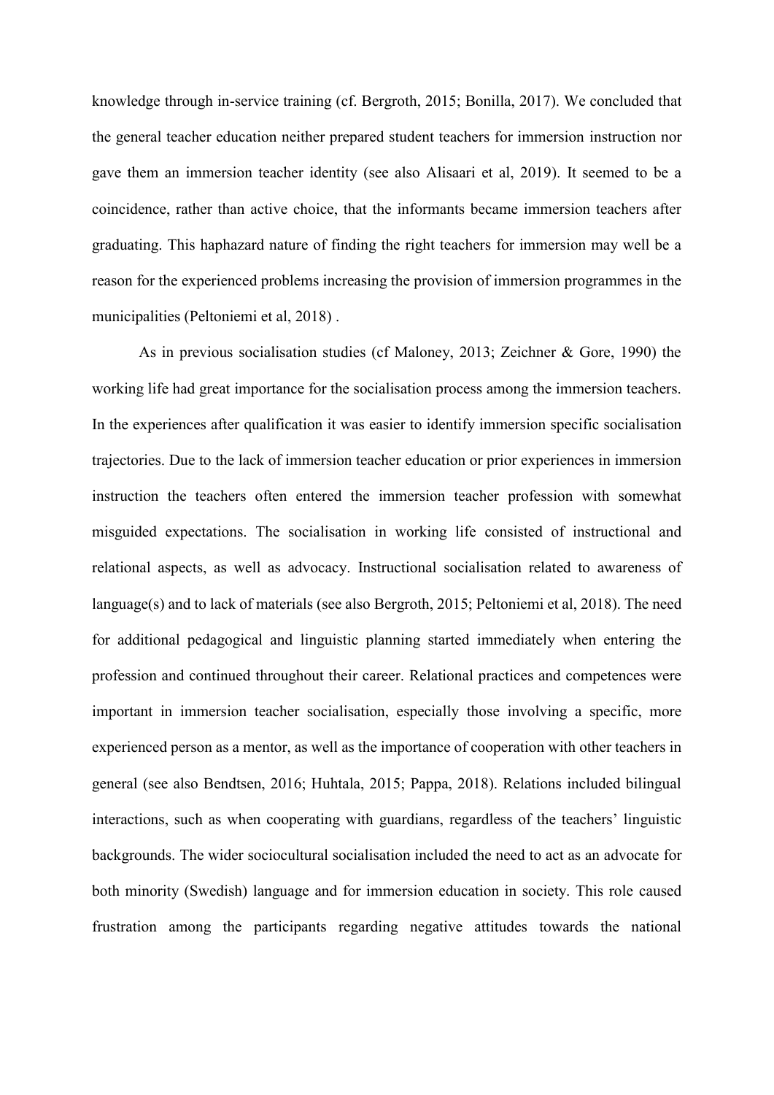knowledge through in-service training (cf. Bergroth, 2015; Bonilla, 2017). We concluded that the general teacher education neither prepared student teachers for immersion instruction nor gave them an immersion teacher identity (see also Alisaari et al, 2019). It seemed to be a coincidence, rather than active choice, that the informants became immersion teachers after graduating. This haphazard nature of finding the right teachers for immersion may well be a reason for the experienced problems increasing the provision of immersion programmes in the municipalities (Peltoniemi et al, 2018) .

As in previous socialisation studies (cf Maloney, 2013; Zeichner & Gore, 1990) the working life had great importance for the socialisation process among the immersion teachers. In the experiences after qualification it was easier to identify immersion specific socialisation trajectories. Due to the lack of immersion teacher education or prior experiences in immersion instruction the teachers often entered the immersion teacher profession with somewhat misguided expectations. The socialisation in working life consisted of instructional and relational aspects, as well as advocacy. Instructional socialisation related to awareness of language(s) and to lack of materials (see also Bergroth, 2015; Peltoniemi et al, 2018). The need for additional pedagogical and linguistic planning started immediately when entering the profession and continued throughout their career. Relational practices and competences were important in immersion teacher socialisation, especially those involving a specific, more experienced person as a mentor, as well as the importance of cooperation with other teachers in general (see also Bendtsen, 2016; Huhtala, 2015; Pappa, 2018). Relations included bilingual interactions, such as when cooperating with guardians, regardless of the teachers' linguistic backgrounds. The wider sociocultural socialisation included the need to act as an advocate for both minority (Swedish) language and for immersion education in society. This role caused frustration among the participants regarding negative attitudes towards the national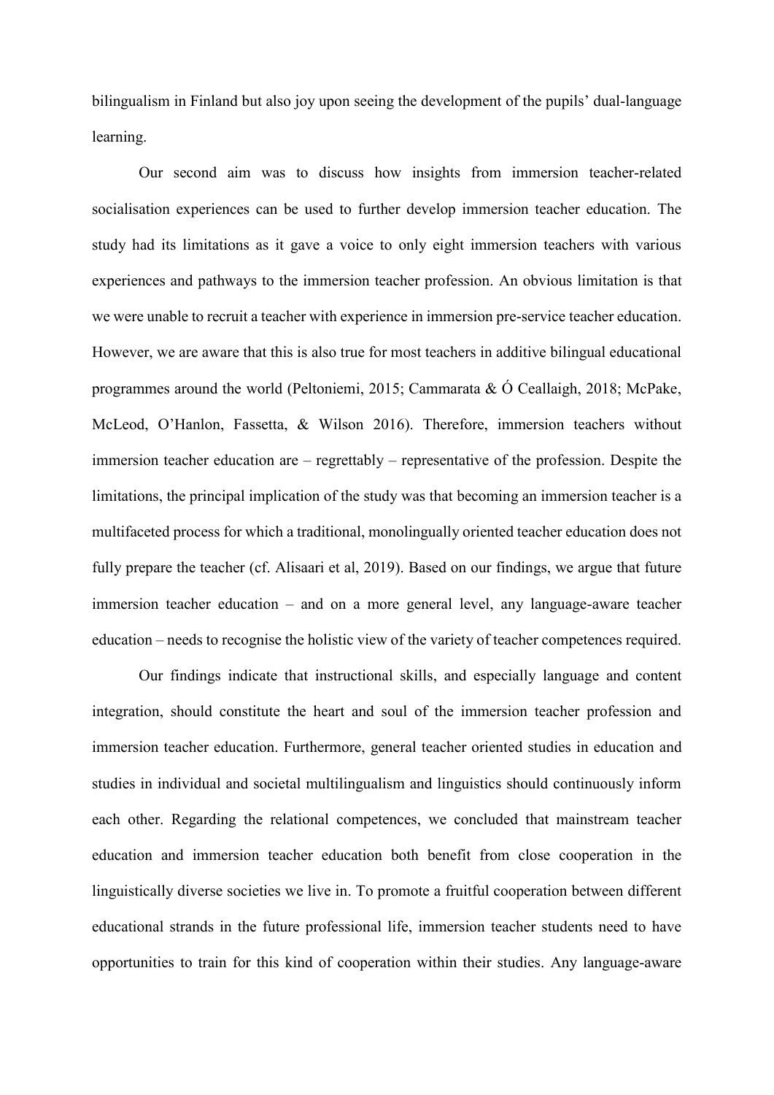bilingualism in Finland but also joy upon seeing the development of the pupils' dual-language learning.

Our second aim was to discuss how insights from immersion teacher-related socialisation experiences can be used to further develop immersion teacher education. The study had its limitations as it gave a voice to only eight immersion teachers with various experiences and pathways to the immersion teacher profession. An obvious limitation is that we were unable to recruit a teacher with experience in immersion pre-service teacher education. However, we are aware that this is also true for most teachers in additive bilingual educational programmes around the world (Peltoniemi, 2015; Cammarata & Ó Ceallaigh, 2018; McPake, McLeod, O'Hanlon, Fassetta, & Wilson 2016). Therefore, immersion teachers without immersion teacher education are – regrettably – representative of the profession. Despite the limitations, the principal implication of the study was that becoming an immersion teacher is a multifaceted process for which a traditional, monolingually oriented teacher education does not fully prepare the teacher (cf. Alisaari et al, 2019). Based on our findings, we argue that future immersion teacher education – and on a more general level, any language-aware teacher education – needs to recognise the holistic view of the variety of teacher competences required.

Our findings indicate that instructional skills, and especially language and content integration, should constitute the heart and soul of the immersion teacher profession and immersion teacher education. Furthermore, general teacher oriented studies in education and studies in individual and societal multilingualism and linguistics should continuously inform each other. Regarding the relational competences, we concluded that mainstream teacher education and immersion teacher education both benefit from close cooperation in the linguistically diverse societies we live in. To promote a fruitful cooperation between different educational strands in the future professional life, immersion teacher students need to have opportunities to train for this kind of cooperation within their studies. Any language-aware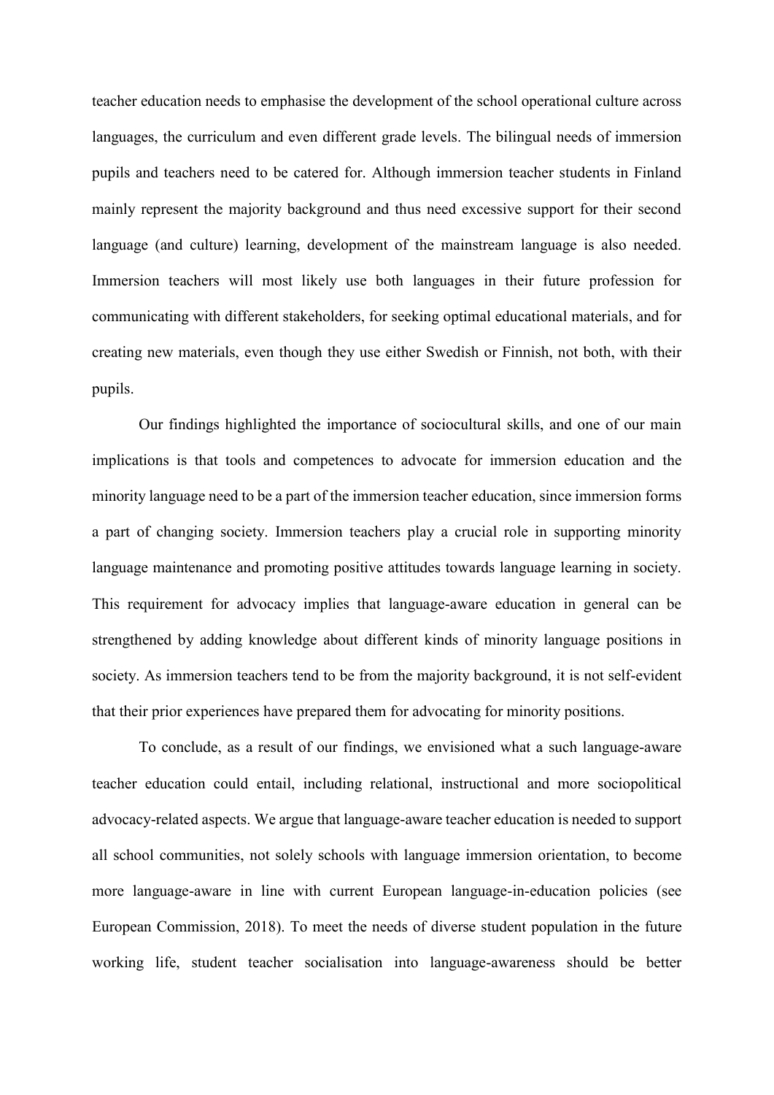teacher education needs to emphasise the development of the school operational culture across languages, the curriculum and even different grade levels. The bilingual needs of immersion pupils and teachers need to be catered for. Although immersion teacher students in Finland mainly represent the majority background and thus need excessive support for their second language (and culture) learning, development of the mainstream language is also needed. Immersion teachers will most likely use both languages in their future profession for communicating with different stakeholders, for seeking optimal educational materials, and for creating new materials, even though they use either Swedish or Finnish, not both, with their pupils.

Our findings highlighted the importance of sociocultural skills, and one of our main implications is that tools and competences to advocate for immersion education and the minority language need to be a part of the immersion teacher education, since immersion forms a part of changing society. Immersion teachers play a crucial role in supporting minority language maintenance and promoting positive attitudes towards language learning in society. This requirement for advocacy implies that language-aware education in general can be strengthened by adding knowledge about different kinds of minority language positions in society. As immersion teachers tend to be from the majority background, it is not self-evident that their prior experiences have prepared them for advocating for minority positions.

To conclude, as a result of our findings, we envisioned what a such language-aware teacher education could entail, including relational, instructional and more sociopolitical advocacy-related aspects. We argue that language-aware teacher education is needed to support all school communities, not solely schools with language immersion orientation, to become more language-aware in line with current European language-in-education policies (see European Commission, 2018). To meet the needs of diverse student population in the future working life, student teacher socialisation into language-awareness should be better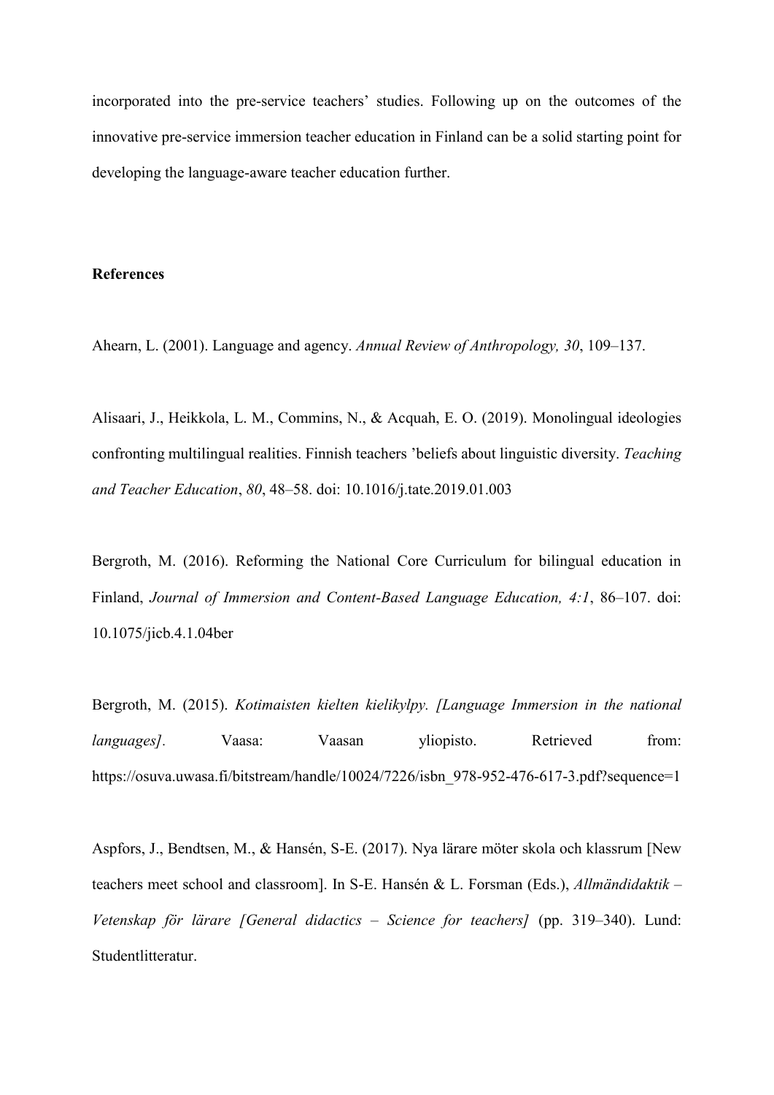incorporated into the pre-service teachers' studies. Following up on the outcomes of the innovative pre-service immersion teacher education in Finland can be a solid starting point for developing the language-aware teacher education further.

#### **References**

Ahearn, L. (2001). Language and agency. *Annual Review of Anthropology, 30*, 109–137.

Alisaari, J., Heikkola, L. M., Commins, N., & Acquah, E. O. (2019). Monolingual ideologies confronting multilingual realities. Finnish teachers 'beliefs about linguistic diversity. *Teaching and Teacher Education*, *80*, 48–58. doi: 10.1016/j.tate.2019.01.003

Bergroth, M. (2016). Reforming the National Core Curriculum for bilingual education in Finland, *Journal of Immersion and Content-Based Language Education, 4:1*, 86–107. doi: 10.1075/jicb.4.1.04ber

Bergroth, M. (2015). *Kotimaisten kielten kielikylpy. [Language Immersion in the national languages]*. Vaasa: Vaasan yliopisto. Retrieved from: [https://osuva.uwasa.fi/bitstream/handle/10024/7226/isbn\\_978-952-476-617-3.pdf?sequence=1](https://osuva.uwasa.fi/bitstream/handle/10024/7226/isbn_978-952-476-617-3.pdf?sequence=1)

Aspfors, J., Bendtsen, M., & Hansén, S-E. (2017). Nya lärare möter skola och klassrum [New teachers meet school and classroom]. In S-E. Hansén & L. Forsman (Eds.), *Allmändidaktik – Vetenskap för lärare [General didactics – Science for teachers]* (pp. 319–340). Lund: Studentlitteratur.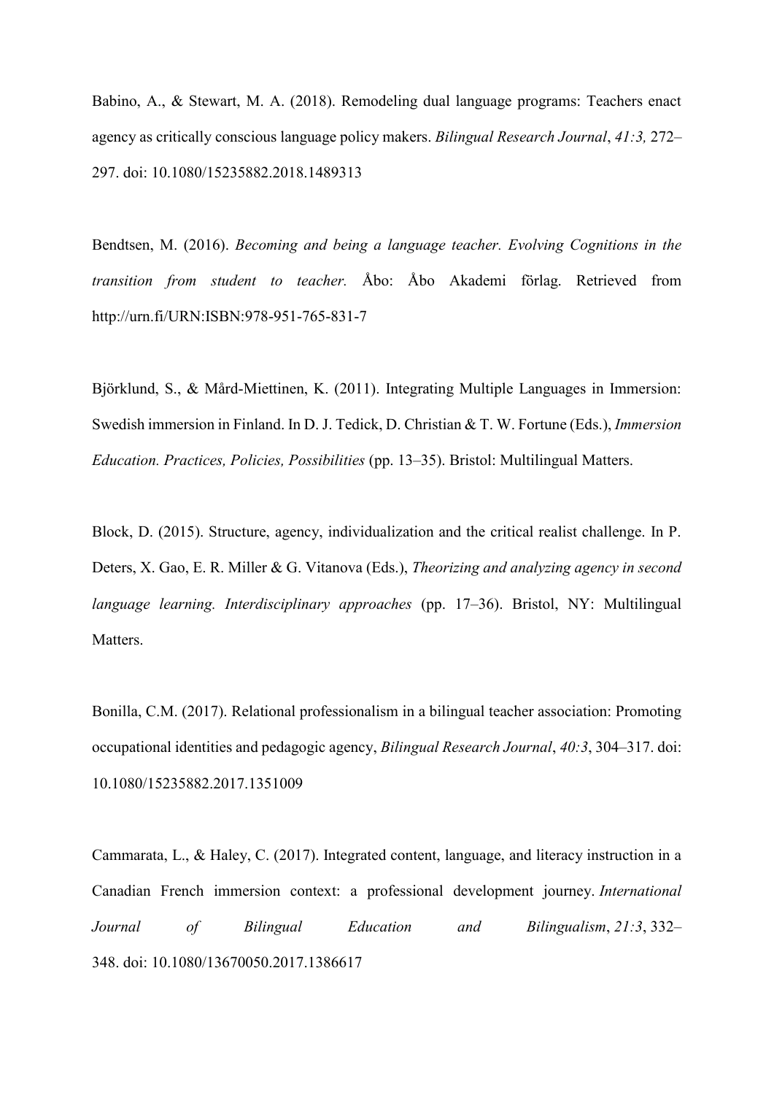Babino, A., & Stewart, M. A. (2018). Remodeling dual language programs: Teachers enact agency as critically conscious language policy makers. *Bilingual Research Journal*, *41:3,* 272– 297. doi: 10.1080/15235882.2018.1489313

Bendtsen, M. (2016). *Becoming and being a language teacher. Evolving Cognitions in the transition from student to teacher.* Åbo: Åbo Akademi förlag. Retrieved from [http://urn.](http://urn/)fi/URN:ISBN:978-951-765-831-7

Björklund, S., & Mård-Miettinen, K. (2011). Integrating Multiple Languages in Immersion: Swedish immersion in Finland. In D. J. Tedick, D. Christian & T. W. Fortune (Eds.), *Immersion Education. Practices, Policies, Possibilities* (pp. 13–35). Bristol: Multilingual Matters.

Block, D. (2015). Structure, agency, individualization and the critical realist challenge. In P. Deters, X. Gao, E. R. Miller & G. Vitanova (Eds.), *Theorizing and analyzing agency in second language learning. Interdisciplinary approaches* (pp. 17–36). Bristol, NY: Multilingual **Matters** 

Bonilla, C.M. (2017). Relational professionalism in a bilingual teacher association: Promoting occupational identities and pedagogic agency, *Bilingual Research Journal*, *40:3*, 304–317. doi: 10.1080/15235882.2017.1351009

Cammarata, L., & Haley, C. (2017). Integrated content, language, and literacy instruction in a Canadian French immersion context: a professional development journey. *International Journal of Bilingual Education and Bilingualism*, *21:3*, 332– 348. doi: 10.1080/13670050.2017.1386617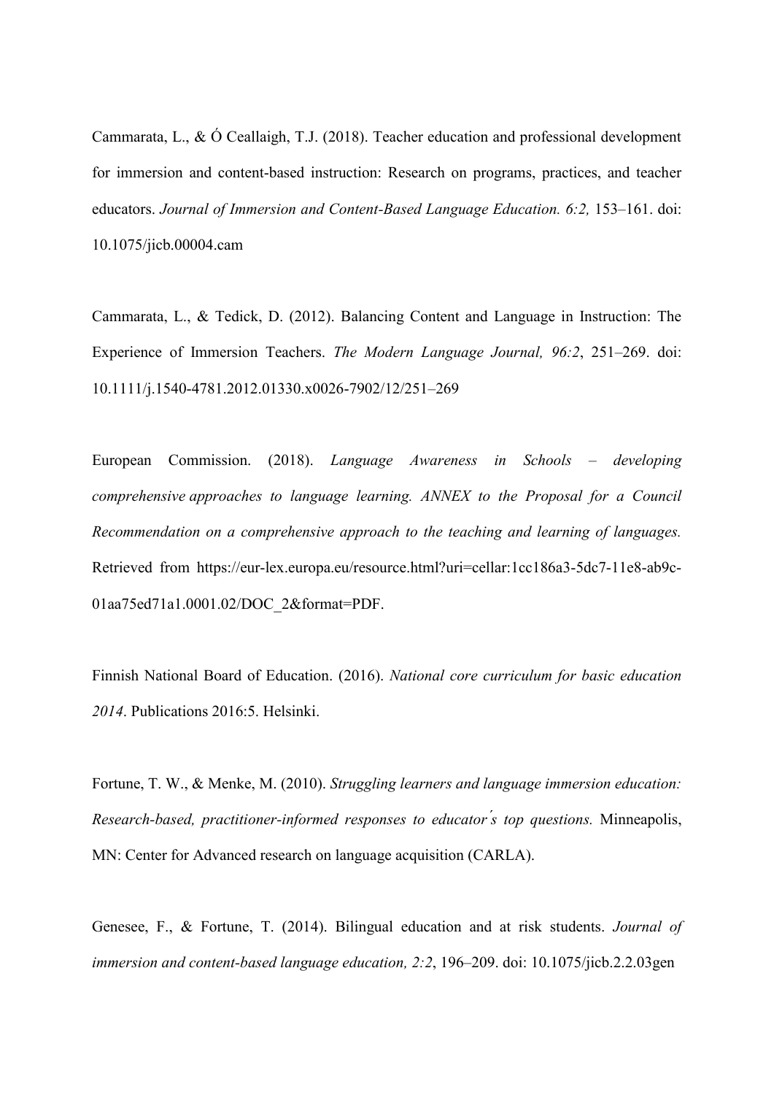Cammarata, L., & Ó Ceallaigh, T.J. (2018). Teacher education and professional development for immersion and content-based instruction: Research on programs, practices, and teacher educators. *Journal of Immersion and Content-Based Language Education. 6:2,* 153–161. doi: [10.1075/jicb.00004.cam](https://doi.org/10.1075/jicb.00004.cam)

Cammarata, L., & Tedick, D. (2012). Balancing Content and Language in Instruction: The Experience of Immersion Teachers. *The Modern Language Journal, 96:2*, 251–269. doi: 10.1111/j.1540-4781.2012.01330.x0026-7902/12/251–269

European Commission. (2018). *Language Awareness in Schools – developing comprehensive approaches to language learning. ANNEX to the Proposal for a Council Recommendation on a comprehensive approach to the teaching and learning of languages.*  Retrieved from [https://eur-lex.europa.eu/resource.html?uri=cellar:1cc186a3-5dc7-11e8-ab9c-](https://eur-lex.europa.eu/resource.html?uri=cellar:1cc186a3-5dc7-11e8-ab9c-01aa75ed71a1.0001.02/DOC_2&format=PDF)[01aa75ed71a1.0001.02/DOC\\_2&format=PDF.](https://eur-lex.europa.eu/resource.html?uri=cellar:1cc186a3-5dc7-11e8-ab9c-01aa75ed71a1.0001.02/DOC_2&format=PDF)

Finnish National Board of Education. (2016). *National core curriculum for basic education 2014*. Publications 2016:5. Helsinki.

Fortune, T. W., & Menke, M. (2010). *Struggling learners and language immersion education: Research-based, practitioner-informed responses to educator ́s top questions.* Minneapolis, MN: Center for Advanced research on language acquisition (CARLA).

Genesee, F., & Fortune, T. (2014). Bilingual education and at risk students. *Journal of immersion and content-based language education, 2:2*, 196–209. doi: 10.1075/jicb.2.2.03gen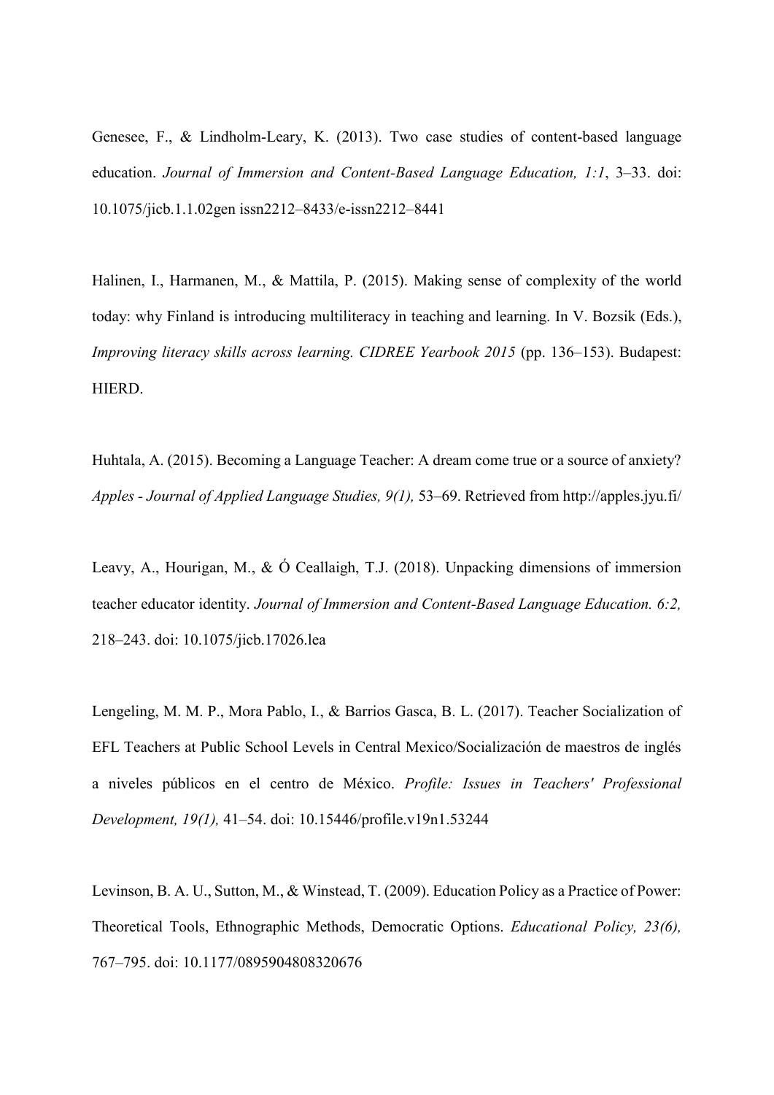Genesee, F., & Lindholm-Leary, K. (2013). Two case studies of content-based language education. *Journal of Immersion and Content-Based Language Education, 1:1*, 3–33. doi: 10.1075/jicb.1.1.02gen issn2212–8433/e-issn2212–8441

Halinen, I., Harmanen, M., & Mattila, P. (2015). Making sense of complexity of the world today: why Finland is introducing multiliteracy in teaching and learning. In V. Bozsik (Eds.), *Improving literacy skills across learning. CIDREE Yearbook 2015* (pp. 136–153). Budapest: HIERD.

Huhtala, A. (2015). Becoming a Language Teacher: A dream come true or a source of anxiety? *Apples - Journal of Applied Language Studies, 9(1),* 53–69. Retrieved from http://apples.jyu.fi/

Leavy, A., Hourigan, M., & Ó Ceallaigh, T.J. (2018). Unpacking dimensions of immersion teacher educator identity. *Journal of Immersion and Content-Based Language Education. 6:2,* 218–243. doi: [10.1075/jicb.17026.lea](https://doi.org/10.1075/jicb.17026.lea)

Lengeling, M. M. P., Mora Pablo, I., & Barrios Gasca, B. L. (2017). Teacher Socialization of EFL Teachers at Public School Levels in Central Mexico/Socialización de maestros de inglés a niveles públicos en el centro de México. *Profile: Issues in Teachers' Professional Development, 19(1),* 41–54. doi: 10.15446/profile.v19n1.53244

Levinson, B. A. U., Sutton, M., & Winstead, T. (2009). Education Policy as a Practice of Power: Theoretical Tools, Ethnographic Methods, Democratic Options. *Educational Policy, 23(6),* 767–795. doi: 10.1177/0895904808320676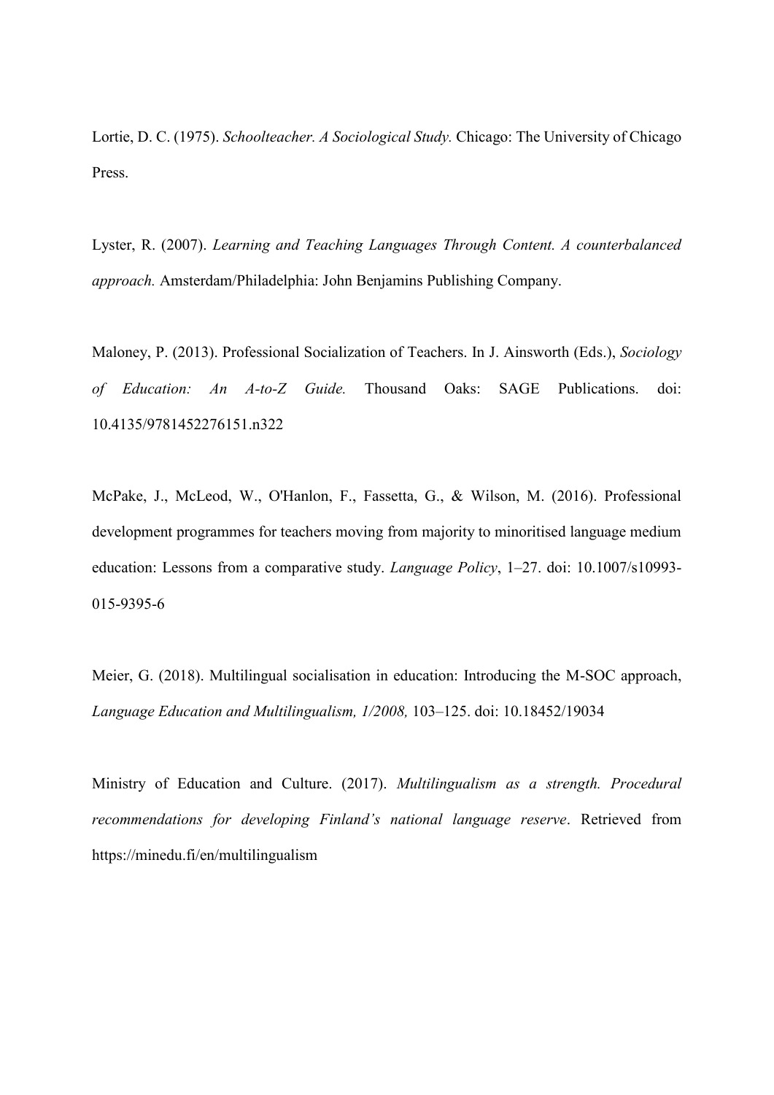Lortie, D. C. (1975). *Schoolteacher. A Sociological Study.* Chicago: The University of Chicago Press.

Lyster, R. (2007). *Learning and Teaching Languages Through Content. A counterbalanced approach.* Amsterdam/Philadelphia: John Benjamins Publishing Company.

Maloney, P. (2013). Professional Socialization of Teachers. In J. Ainsworth (Eds.), *Sociology of Education: An A-to-Z Guide.* Thousand Oaks: SAGE Publications. doi: 10.4135/9781452276151.n322

McPake, J., McLeod, W., O'Hanlon, F., Fassetta, G., & Wilson, M. (2016). Professional development programmes for teachers moving from majority to minoritised language medium education: Lessons from a comparative study. *Language Policy*, 1–27. doi: 10.1007/s10993- 015-9395-6

Meier, G. (2018). Multilingual socialisation in education: Introducing the M-SOC approach, *Language Education and Multilingualism, 1/2008,* 103–125. doi: 10.18452/19034

Ministry of Education and Culture. (2017). *Multilingualism as a strength. Procedural recommendations for developing Finland's national language reserve*. Retrieved from https://minedu.fi/en/multilingualism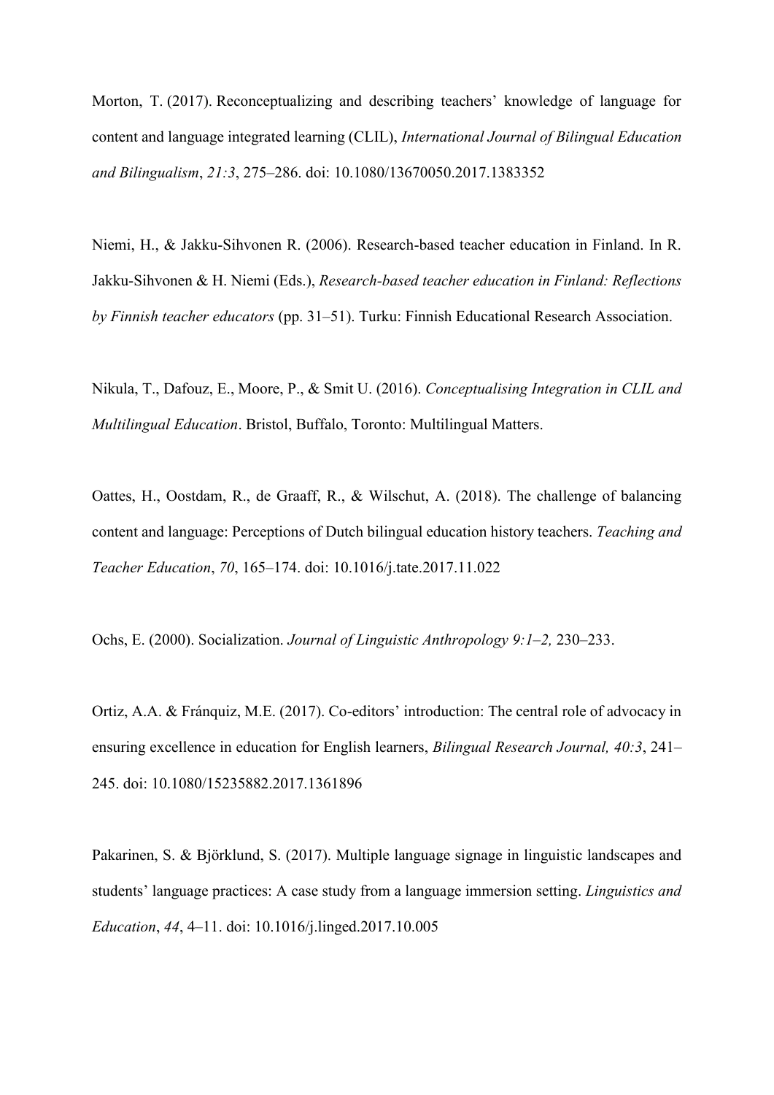Morton, T. (2017). Reconceptualizing and describing teachers' knowledge of language for content and language integrated learning (CLIL), *International Journal of Bilingual Education and Bilingualism*, *21:3*, 275–286. doi: [10.1080/13670050.2017.1383352](https://doi.org/10.1080/13670050.2017.1383352)

Niemi, H., & Jakku-Sihvonen R. (2006). Research-based teacher education in Finland. In R. Jakku-Sihvonen & H. Niemi (Eds.), *Research-based teacher education in Finland: Reflections by Finnish teacher educators* (pp. 31–51). Turku: Finnish Educational Research Association.

Nikula, T., Dafouz, E., Moore, P., & Smit U. (2016). *Conceptualising Integration in CLIL and Multilingual Education*. Bristol, Buffalo, Toronto: Multilingual Matters.

Oattes, H., Oostdam, R., de Graaff, R., & Wilschut, A. (2018). The challenge of balancing content and language: Perceptions of Dutch bilingual education history teachers. *Teaching and Teacher Education*, *70*, 165–174. doi: 10.1016/j.tate.2017.11.022

Ochs, E. (2000). Socialization. *Journal of Linguistic Anthropology 9:1–2,* 230–233.

Ortiz, A.A. & Fránquiz, M.E. (2017). Co-editors' introduction: The central role of advocacy in ensuring excellence in education for English learners, *Bilingual Research Journal, 40:3*, 241– 245. doi: 10.1080/15235882.2017.1361896

Pakarinen, S. & Björklund, S. (2017). Multiple language signage in linguistic landscapes and students' language practices: A case study from a language immersion setting. *Linguistics and Education*, *44*, 4–11. doi: 10.1016/j.linged.2017.10.005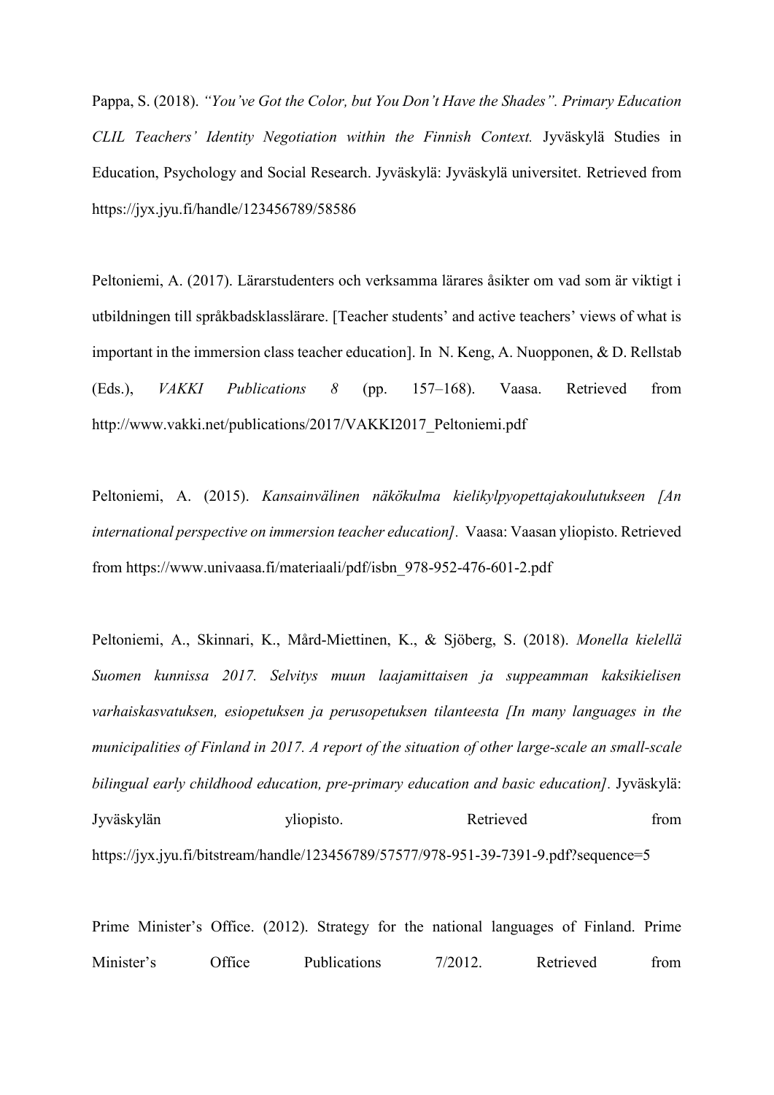Pappa, S. (2018). *"You've Got the Color, but You Don't Have the Shades". Primary Education CLIL Teachers' Identity Negotiation within the Finnish Context.* Jyväskylä Studies in Education, Psychology and Social Research. Jyväskylä: Jyväskylä universitet. Retrieved from https://jyx.jyu.fi/handle/123456789/58586

Peltoniemi, A. (2017). Lärarstudenters och verksamma lärares åsikter om vad som är viktigt i utbildningen till språkbadsklasslärare. [Teacher students' and active teachers' views of what is important in the immersion class teacher education]. In N. Keng, A. Nuopponen, & D. Rellstab (Eds.), *VAKKI Publications 8* (pp. 157–168). Vaasa. Retrieved from http://www.vakki.net/publications/2017/VAKKI2017\_Peltoniemi.pdf

Peltoniemi, A. (2015). *Kansainvälinen näkökulma kielikylpyopettajakoulutukseen [An international perspective on immersion teacher education].* Vaasa: Vaasan yliopisto. Retrieved from https://www.univaasa.fi/materiaali/pdf/isbn\_978-952-476-601-2.pdf

Peltoniemi, A., Skinnari, K., Mård-Miettinen, K., & Sjöberg, S. (2018). *Monella kielellä Suomen kunnissa 2017. Selvitys muun laajamittaisen ja suppeamman kaksikielisen varhaiskasvatuksen, esiopetuksen ja perusopetuksen tilanteesta [In many languages in the municipalities of Finland in 2017. A report of the situation of other large-scale an small-scale bilingual early childhood education, pre-primary education and basic education].* Jyväskylä: Jyväskylän vliopisto. Retrieved from https://jyx.jyu.fi/bitstream/handle/123456789/57577/978-951-39-7391-9.pdf?sequence=5

Prime Minister's Office. (2012). Strategy for the national languages of Finland. Prime Minister's Office Publications 7/2012. Retrieved from